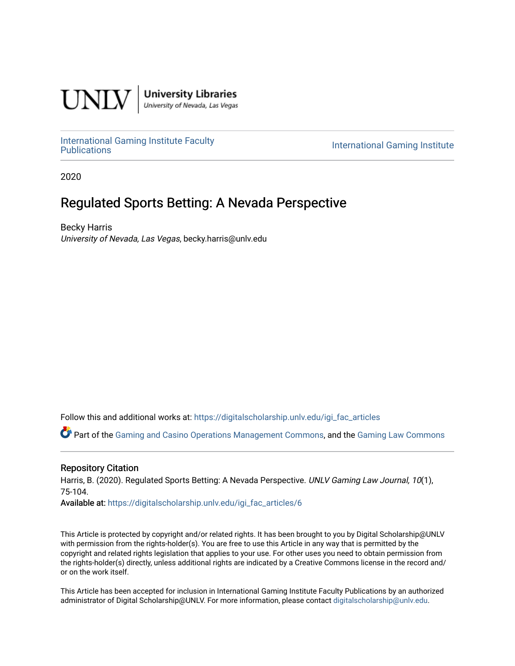

**University Libraries**<br>University of Nevada, Las Vegas

[International Gaming Institute Faculty](https://digitalscholarship.unlv.edu/igi_fac_articles) 

**International Gaming Institute** 

2020

# Regulated Sports Betting: A Nevada Perspective

Becky Harris University of Nevada, Las Vegas, becky.harris@unlv.edu

Follow this and additional works at: [https://digitalscholarship.unlv.edu/igi\\_fac\\_articles](https://digitalscholarship.unlv.edu/igi_fac_articles?utm_source=digitalscholarship.unlv.edu%2Figi_fac_articles%2F6&utm_medium=PDF&utm_campaign=PDFCoverPages)

Part of the [Gaming and Casino Operations Management Commons](http://network.bepress.com/hgg/discipline/1088?utm_source=digitalscholarship.unlv.edu%2Figi_fac_articles%2F6&utm_medium=PDF&utm_campaign=PDFCoverPages), and the [Gaming Law Commons](http://network.bepress.com/hgg/discipline/1117?utm_source=digitalscholarship.unlv.edu%2Figi_fac_articles%2F6&utm_medium=PDF&utm_campaign=PDFCoverPages) 

# Repository Citation

Harris, B. (2020). Regulated Sports Betting: A Nevada Perspective. UNLV Gaming Law Journal, 10(1), 75-104.

Available at: [https://digitalscholarship.unlv.edu/igi\\_fac\\_articles/6](https://digitalscholarship.unlv.edu/igi_fac_articles/6)

This Article is protected by copyright and/or related rights. It has been brought to you by Digital Scholarship@UNLV with permission from the rights-holder(s). You are free to use this Article in any way that is permitted by the copyright and related rights legislation that applies to your use. For other uses you need to obtain permission from the rights-holder(s) directly, unless additional rights are indicated by a Creative Commons license in the record and/ or on the work itself.

This Article has been accepted for inclusion in International Gaming Institute Faculty Publications by an authorized administrator of Digital Scholarship@UNLV. For more information, please contact [digitalscholarship@unlv.edu.](mailto:digitalscholarship@unlv.edu)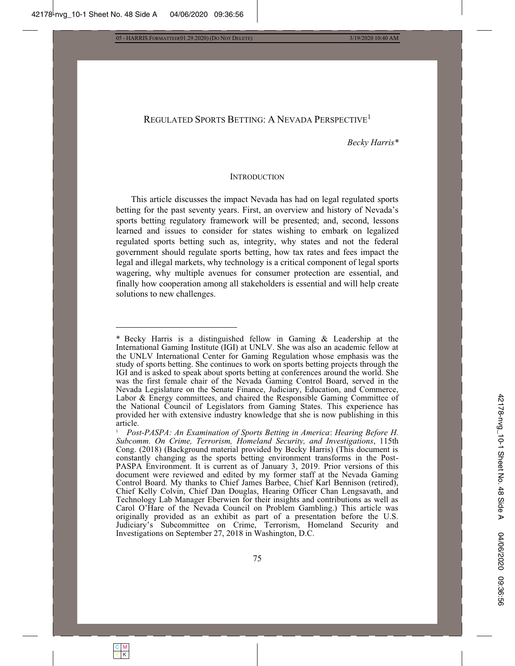C M Y | K

05 - HARRIS.FORMATTED(01.29.2020) (DO NOT DELETE) 3/19/2020 10:40 AM

# REGULATED SPORTS BETTING: A NEVADA PERSPECTIVE<sup>1</sup>

*Becky Harris\** 

#### INTRODUCTION

This article discusses the impact Nevada has had on legal regulated sports betting for the past seventy years. First, an overview and history of Nevada's sports betting regulatory framework will be presented; and, second, lessons learned and issues to consider for states wishing to embark on legalized regulated sports betting such as, integrity, why states and not the federal government should regulate sports betting, how tax rates and fees impact the legal and illegal markets, why technology is a critical component of legal sports wagering, why multiple avenues for consumer protection are essential, and finally how cooperation among all stakeholders is essential and will help create solutions to new challenges.

<sup>\*</sup> Becky Harris is a distinguished fellow in Gaming  $\&$  Leadership at the International Gaming Institute (IGI) at UNLV. She was also an academic fellow at the UNLV International Center for Gaming Regulation whose emphasis was the study of sports betting. She continues to work on sports betting projects through the IGI and is asked to speak about sports betting at conferences around the world. She was the first female chair of the Nevada Gaming Control Board, served in the Nevada Legislature on the Senate Finance, Judiciary, Education, and Commerce, Labor & Energy committees, and chaired the Responsible Gaming Committee of the National Council of Legislators from Gaming States. This experience has provided her with extensive industry knowledge that she is now publishing in this article.

*Post-PASPA: An Examination of Sports Betting in America: Hearing Before H. Subcomm. On Crime, Terrorism, Homeland Security, and Investigations*, 115th Cong. (2018) (Background material provided by Becky Harris) (This document is constantly changing as the sports betting environment transforms in the Post-PASPA Environment. It is current as of January 3, 2019. Prior versions of this document were reviewed and edited by my former staff at the Nevada Gaming Control Board. My thanks to Chief James Barbee, Chief Karl Bennison (retired), Chief Kelly Colvin, Chief Dan Douglas, Hearing Officer Chan Lengsavath, and Technology Lab Manager Eberwien for their insights and contributions as well as Carol O'Hare of the Nevada Council on Problem Gambling.) This article was originally provided as an exhibit as part of a presentation before the U.S. Judiciary's Subcommittee on Crime, Terrorism, Homeland Security and Investigations on September 27, 2018 in Washington, D.C.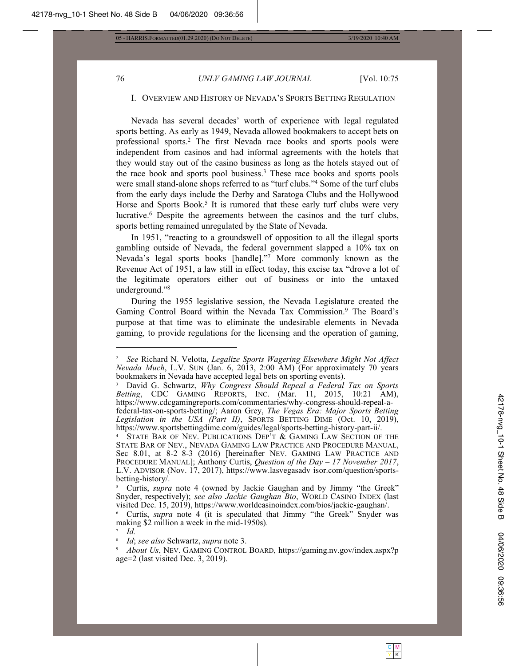76

# UNLV GAMING LAW JOURNAL

[Vol. 10:75

#### I. OVERVIEW AND HISTORY OF NEVADA'S SPORTS BETTING REGULATION

Nevada has several decades' worth of experience with legal regulated sports betting. As early as 1949, Nevada allowed bookmakers to accept bets on professional sports.<sup>2</sup> The first Nevada race books and sports pools were independent from casinos and had informal agreements with the hotels that they would stay out of the casino business as long as the hotels stayed out of the race book and sports pool business.<sup>3</sup> These race books and sports pools were small stand-alone shops referred to as "turf clubs."<sup>4</sup> Some of the turf clubs from the early days include the Derby and Saratoga Clubs and the Hollywood Horse and Sports Book.<sup>5</sup> It is rumored that these early turf clubs were very lucrative.<sup>6</sup> Despite the agreements between the casinos and the turf clubs, sports betting remained unregulated by the State of Nevada.

In 1951, "reacting to a grounds well of opposition to all the illegal sports gambling outside of Nevada, the federal government slapped a 10% tax on Nevada's legal sports books [handle]."7 More commonly known as the Revenue Act of 1951, a law still in effect today, this excise tax "drove a lot of the legitimate operators either out of business or into the untaxed underground."<sup>8</sup>

During the 1955 legislative session, the Nevada Legislature created the Gaming Control Board within the Nevada Tax Commission.<sup>9</sup> The Board's purpose at that time was to eliminate the undesirable elements in Nevada gaming, to provide regulations for the licensing and the operation of gaming,

Curtis, *supra* note 4 (owned by Jackie Gaughan and by Jimmy "the Greek" Snyder, respectively); see also Jackie Gaughan Bio, WORLD CASINO INDEX (last visited Dec. 15, 2019), https://www.worldcasinoindex.com/bios/jackie-gaughan/.

Id.

See Richard N. Velotta, Legalize Sports Wagering Elsewhere Might Not Affect Nevada Much, L.V. SUN (Jan. 6, 2013, 2:00 AM) (For approximately 70 years bookmakers in Nevada have accepted legal bets on sporting events).

David G. Schwartz, Why Congress Should Repeal a Federal Tax on Sports Betting, CDC GAMING REPORTS, INC. (Mar. 11, 2015, 10:21 AM), https://www.cdcgamingreports.com/commentaries/why-congress-should-repeal-afederal-tax-on-sports-betting/; Aaron Grey, The Vegas Era: Major Sports Betting Legislation in the USA (Part II), SPORTS BETTING DIME (Oct. 10, 2019), https://www.sportsbettingdime.com/guides/legal/sports-betting-history-part-ii/.

<sup>&</sup>lt;sup>4</sup> STATE BAR OF NEV. PUBLICATIONS DEP'T & GAMING LAW SECTION OF THE STATE BAR OF NEV., NEVADA GAMING LAW PRACTICE AND PROCEDURE MANUAL, Sec 8.01, at 8-2-8-3 (2016) [hereinafter NEV. GAMING LAW PRACTICE AND PROCEDURE MANUAL]; Anthony Curtis, Question of the Day - 17 November 2017, L.V. ADVISOR (Nov. 17, 2017), https://www.lasvegasadv isor.com/question/sportsbetting-history.

<sup>&</sup>lt;sup>6</sup> Curtis, *supra* note 4 (it is speculated that Jimmy "the Greek" Snyder was making \$2 million a week in the mid-1950s).

Id; see also Schwartz, supra note 3.

About Us, NEV. GAMING CONTROL BOARD, https://gaming.nv.gov/index.aspx?p age=2 (last visited Dec. 3, 2019).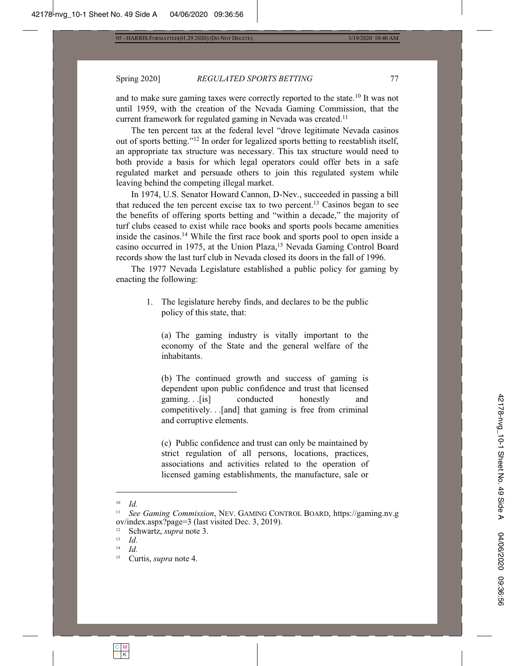#### Spring 2020] **REGULATED SPORTS BETTING** 77

and to make sure gaming taxes were correctly reported to the state.<sup>10</sup> It was not until 1959, with the creation of the Nevada Gaming Commission, that the current framework for regulated gaming in Nevada was created.<sup>11</sup>

The ten percent tax at the federal level "drove legitimate Nevada casinos out of sports betting."<sup>12</sup> In order for legalized sports betting to reestablish itself, an appropriate tax structure was necessary. This tax structure would need to both provide a basis for which legal operators could offer bets in a safe regulated market and persuade others to join this regulated system while leaving behind the competing illegal market.

In 1974, U.S. Senator Howard Cannon, D-Nev., succeeded in passing a bill that reduced the ten percent excise tax to two percent.<sup>13</sup> Casinos began to see the benefits of offering sports betting and "within a decade," the majority of turf clubs ceased to exist while race books and sports pools became amenities inside the casinos.<sup>14</sup> While the first race book and sports pool to open inside a casino occurred in 1975, at the Union Plaza,<sup>15</sup> Nevada Gaming Control Board records show the last turf club in Nevada closed its doors in the fall of 1996.

The 1977 Nevada Legislature established a public policy for gaming by enacting the following:

> 1. The legislature hereby finds, and declares to be the public policy of this state, that:

(a) The gaming industry is vitally important to the economy of the State and the general welfare of the inhabitants.

 $(b)$  The continued growth and success of gaming is dependent upon public confidence and trust that licensed gaming... [is] conducted honestly and competitively. . .[and] that gaming is free from criminal and corruptive elements.

(c) Public confidence and trust can only be maintained by strict regulation of all persons, locations, practices, associations and activities related to the operation of licensed gaming establishments, the manufacture, sale or

 $\frac{10}{11}$  *Id.* 

*See Gaming Commission, NEV. GAMING CONTROL BOARD, https://gaming.nv.g* ov/index.aspx?page=3 (last visited Dec. 3, 2019).

<sup>&</sup>lt;sup>12</sup> Schwartz, *supra* note 3.<br>
<sup>13</sup> *Id* 

 $\frac{13}{14}$  *Id.* 

*Id.*

<sup>&</sup>lt;sup>15</sup> Curtis, *supra* note 4.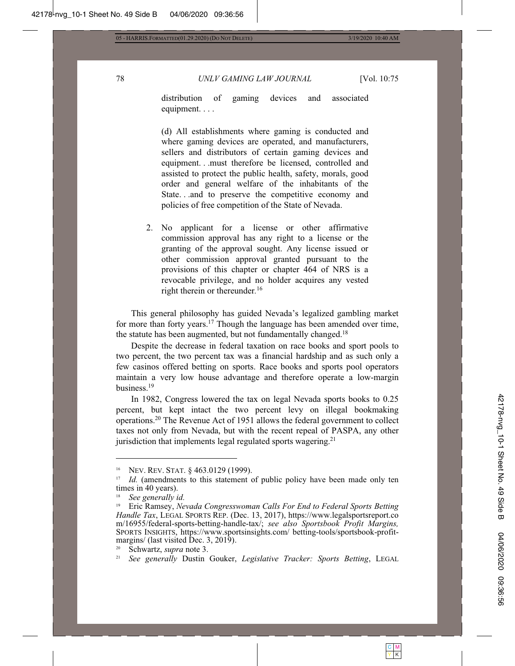78 UNLV GAMING LAW JOURNAL [Vol. 10:75

distribution of gaming devices and associated equipment. $\ldots$ 

(d) All establishments where gaming is conducted and where gaming devices are operated, and manufacturers, sellers and distributors of certain gaming devices and equipment...must therefore be licensed, controlled and assisted to protect the public health, safety, morals, good order and general welfare of the inhabitants of the State...and to preserve the competitive economy and policies of free competition of the State of Nevada.

2. No applicant for a license or other affirmative commission approval has any right to a license or the granting of the approval sought. Any license issued or other commission approval granted pursuant to the provisions of this chapter or chapter 464 of NRS is a revocable privilege, and no holder acquires any vested right therein or thereunder.<sup>16</sup>

This general philosophy has guided Nevada's legalized gambling market for more than forty years.<sup>17</sup> Though the language has been amended over time, the statute has been augmented, but not fundamentally changed.<sup>18</sup>

Despite the decrease in federal taxation on race books and sport pools to two percent, the two percent tax was a financial hardship and as such only a few casinos offered betting on sports. Race books and sports pool operators maintain a very low house advantage and therefore operate a low-margin business.<sup>19</sup>

In 1982, Congress lowered the tax on legal Nevada sports books to 0.25 percent, but kept intact the two percent levy on illegal bookmaking operations.<sup>20</sup> The Revenue Act of 1951 allows the federal government to collect taxes not only from Nevada, but with the recent repeal of PASPA, any other jurisdiction that implements legal regulated sports wagering.<sup>21</sup>

<sup>&</sup>lt;sup>16</sup> NEV. REV. STAT.  $\S$  463.0129 (1999).

<sup>&</sup>lt;sup>17</sup> Id. (amendments to this statement of public policy have been made only ten times in 40 years).

<sup>&</sup>lt;sup>18</sup> *See generally id.*<br><sup>19</sup> Fric Ramsey *No* 

Eric Ramsey, Nevada Congresswoman Calls For End to Federal Sports Betting *Handle Tax*, LEGAL SPORTS REP. (Dec. 13, 2017), https://www.legalsportsreport.co m/16955/federal-sports-betting-handle-tax/; see also Sportsbook Profit Margins, SPORTS INSIGHTS, https://www.sportsinsights.com/ betting-tools/sportsbook-profitmargins/ (last visited Dec. 3, 2019).

Schwartz, *supra* note 3.

<sup>&</sup>lt;sup>21</sup> See generally Dustin Gouker, Legislative Tracker: Sports Betting, LEGAL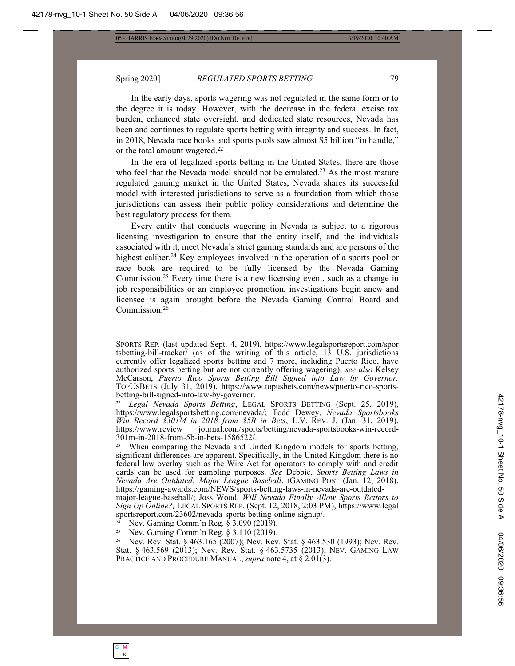# Spring 2020] **REGULATED SPORTS BETTING** 79

In the early days, sports wagering was not regulated in the same form or to the degree it is today. However, with the decrease in the federal excise tax burden, enhanced state oversight, and dedicated state resources, Nevada has been and continues to regulate sports betting with integrity and success. In fact, in 2018, Nevada race books and sports pools saw almost \$5 billion "in handle," or the total amount wagered. $22$ 

In the era of legalized sports betting in the United States, there are those who feel that the Nevada model should not be emulated.<sup>23</sup> As the most mature regulated gaming market in the United States, Nevada shares its successful model with interested jurisdictions to serve as a foundation from which those jurisdictions can assess their public policy considerations and determine the best regulatory process for them.

Every entity that conducts wagering in Nevada is subject to a rigorous licensing investigation to ensure that the entity itself, and the individuals associated with it, meet Nevada's strict gaming standards and are persons of the highest caliber.<sup>24</sup> Key employees involved in the operation of a sports pool or race book are required to be fully licensed by the Nevada Gaming Commission.<sup>25</sup> Every time there is a new licensing event, such as a change in job responsibilities or an employee promotion, investigations begin anew and licensee is again brought before the Nevada Gaming Control Board and Commission.<sup>26</sup>

SPORTS REP. (last updated Sept. 4, 2019), https://www.legalsportsreport.com/spor tsbetting-bill-tracker/ (as of the writing of this article,  $\overline{13}$  U.S. jurisdictions currently offer legalized sports betting and 7 more, including Puerto Rico, have authorized sports betting but are not currently offering wagering); see also Kelsey McCarson, Puerto Rico Sports Betting Bill Signed into Law by Governor, TOPUSBETS (July 31, 2019), https://www.topusbets.com/news/puerto-rico-sportsbetting-bill-signed-into-law-by-governor.

<sup>&</sup>lt;sup>22</sup> Legal Nevada Sports Betting, LEGAL SPORTS BETTING (Sept. 25, 2019), https://www.legalsportsbetting.com/nevada/; Todd Dewey, Nevada Sportsbooks *Win Record \$301M in 2018 from \$5B in Bets*, L.V. REV. J. (Jan. 31, 2019), https://www.review journal.com/sports/betting/nevada-sportsbooks-win-recordjournal.com/sports/betting/nevada-sportsbooks-win-record- $301m$ -in-2018-from-5b-in-bets-1586522/.

When comparing the Nevada and United Kingdom models for sports betting, significant differences are apparent. Specifically, in the United Kingdom there is no federal law overlay such as the Wire Act for operators to comply with and credit cards can be used for gambling purposes. See Debbie, Sports Betting Laws in *Nevada Are Outdated: Major League Baseball*, IGAMING POST (Jan. 12, 2018), https://gaming-awards.com/NEWS/sports-betting-laws-in-nevada-are-outdated-

major-league-baseball/; Joss Wood, *Will Nevada Finally Allow Sports Bettors to Sign Up Online?, LEGAL SPORTS REP. (Sept. 12, 2018, 2:03 PM), https://www.legal* sportsreport.com/23602/nevada-sports-betting-online-signup/.

<sup>&</sup>lt;sup>24</sup> Nev. Gaming Comm'n Reg. § 3.090 (2019).<br><sup>25</sup> Nev. Gaming Comm'n Reg. § 3.110 (2019).

Nev. Gaming Comm'n Reg. § 3.110 (2019).

<sup>&</sup>lt;sup>26</sup> Nev. Rev. Stat. § 463.165 (2007); Nev. Rev. Stat. § 463.530 (1993); Nev. Rev. Stat. § 463.569 (2013); Nev. Rev. Stat. § 463.5735 (2013); NEV. GAMING LAW PRACTICE AND PROCEDURE MANUAL, *supra* note 4, at § 2.01(3).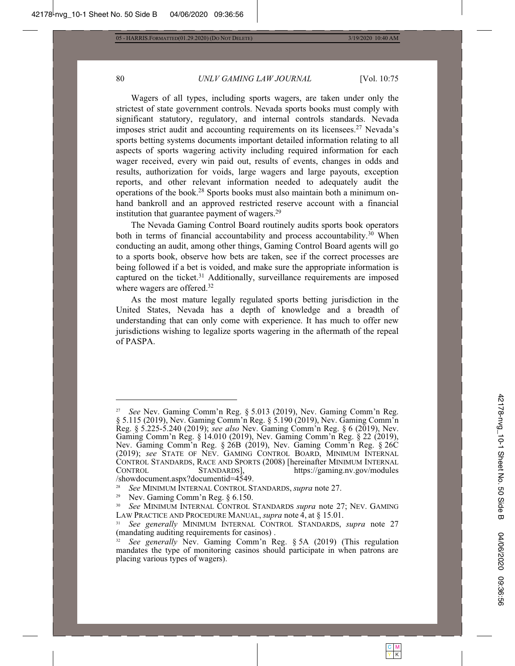# 80 UNLV GAMING LAW JOURNAL [Vol. 10:75

Wagers of all types, including sports wagers, are taken under only the strictest of state government controls. Nevada sports books must comply with significant statutory, regulatory, and internal controls standards. Nevada imposes strict audit and accounting requirements on its licensees.<sup>27</sup> Nevada's sports betting systems documents important detailed information relating to all aspects of sports wagering activity including required information for each wager received, every win paid out, results of events, changes in odds and results, authorization for voids, large wagers and large payouts, exception reports, and other relevant information needed to adequately audit the operations of the book.<sup>28</sup> Sports books must also maintain both a minimum onhand bankroll and an approved restricted reserve account with a financial institution that guarantee payment of wagers.<sup>29</sup>

The Nevada Gaming Control Board routinely audits sports book operators both in terms of financial accountability and process accountability.<sup>30</sup> When conducting an audit, among other things, Gaming Control Board agents will go to a sports book, observe how bets are taken, see if the correct processes are being followed if a bet is voided, and make sure the appropriate information is captured on the ticket.<sup>31</sup> Additionally, surveillance requirements are imposed where wagers are offered.<sup>32</sup>

As the most mature legally regulated sports betting jurisdiction in the United States, Nevada has a depth of knowledge and a breadth of understanding that can only come with experience. It has much to offer new jurisdictions wishing to legalize sports wagering in the aftermath of the repeal of PASPA.

See Nev. Gaming Comm'n Reg. § 5.013 (2019), Nev. Gaming Comm'n Reg. § 5.115 (2019), Nev. Gaming Comm'n Reg. § 5.190 (2019), Nev. Gaming Comm'n Reg. § 5.225-5.240 (2019); see also Nev. Gaming Comm'n Reg. § 6 (2019), Nev. Gaming Comm'n Reg. § 14.010 (2019), Nev. Gaming Comm'n Reg. § 22 (2019), Nev. Gaming Comm'n Reg. §  $26B$  (2019), Nev. Gaming Comm'n Reg. §  $26C$ (2019); see STATE OF NEV. GAMING CONTROL BOARD, MINIMUM INTERNAL CONTROL STANDARDS, RACE AND SPORTS (2008) [hereinafter MINIMUM INTERNAL CONTROL STANDARDS, https://gaming.nv.gov/modules /showdocument.aspx?documentid=4549.

<sup>&</sup>lt;sup>28</sup> See MINIMUM INTERNAL CONTROL STANDARDS, *supra* note 27.

<sup>&</sup>lt;sup>29</sup> Nev. Gaming Comm'n Reg.  $§$  6.150.

*See* MINIMUM INTERNAL CONTROL STANDARDS *supra* note 27; NEV. GAMING LAW PRACTICE AND PROCEDURE MANUAL, *supra* note 4, at § 15.01.

<sup>&</sup>lt;sup>31</sup> See generally MINIMUM INTERNAL CONTROL STANDARDS, supra note 27 (mandating auditing requirements for casinos).

See generally Nev. Gaming Comm'n Reg. § 5A (2019) (This regulation mandates the type of monitoring casinos should participate in when patrons are placing various types of wagers).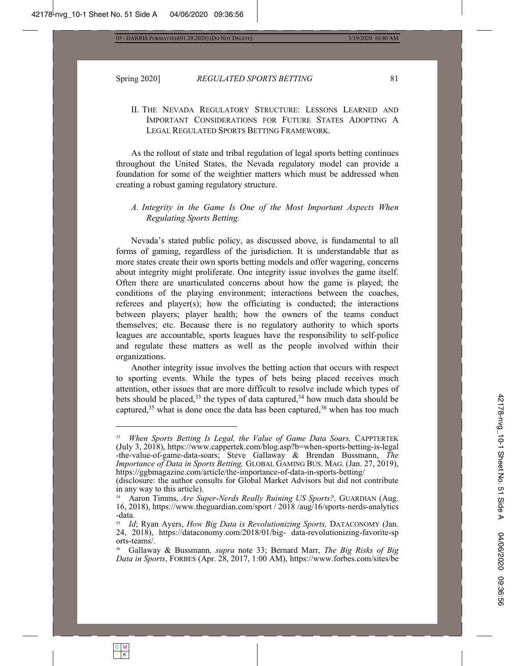C M Y | K

#### Spring 2020] **REGULATED SPORTS BETTING** 81

# II. THE NEVADA REGULATORY STRUCTURE: LESSONS LEARNED AND IMPORTANT CONSIDERATIONS FOR FUTURE STATES ADOPTING A LEGAL REGULATED SPORTS BETTING FRAMEWORK.

As the rollout of state and tribal regulation of legal sports betting continues throughout the United States, the Nevada regulatory model can provide a foundation for some of the weightier matters which must be addressed when creating a robust gaming regulatory structure.

# *A. Integrity in the Game Is One of the Most Important Aspects When Regulating Sports Betting.*

Nevada's stated public policy, as discussed above, is fundamental to all forms of gaming, regardless of the jurisdiction. It is understandable that as more states create their own sports betting models and offer wagering, concerns about integrity might proliferate. One integrity issue involves the game itself. Often there are unarticulated concerns about how the game is played; the conditions of the playing environment; interactions between the coaches, referees and player(s); how the officiating is conducted; the interactions between players; player health; how the owners of the teams conduct themselves; etc. Because there is no regulatory authority to which sports leagues are accountable, sports leagues have the responsibility to self-police and regulate these matters as well as the people involved within their organizations.

Another integrity issue involves the betting action that occurs with respect to sporting events. While the types of bets being placed receives much attention, other issues that are more difficult to resolve include which types of bets should be placed,<sup>33</sup> the types of data captured,<sup>34</sup> how much data should be captured,  $35$  what is done once the data has been captured,  $36$  when has too much

*When Sports Betting Is Legal, the Value of Game Data Soars, CAPPTERTEK* (July 3, 2018), https://www.cappertek.com/blog.asp?b=when-sports-betting-is-legal -the-value-of-game-data-soars; Steve Gallaway & Brendan Bussmann, The *Importance of Data in Sports Betting, GLOBAL GAMING BUS. MAG. (Jan. 27, 2019),* https://ggbmagazine.com/article/the-importance-of-data-in-sports-betting/

<sup>(</sup>disclosure: the author consults for Global Market Advisors but did not contribute in any way to this article).

<sup>&</sup>lt;sup>34</sup> Aaron Timms, Are Super-Nerds Really Ruining US Sports?, GUARDIAN (Aug. 16, 2018), https://www.theguardian.com/sport / 2018 /aug/16/sports-nerds-analytics -data.

<sup>&</sup>lt;sup>35</sup> Id; Ryan Ayers, *How Big Data is Revolutionizing Sports*, DATACONOMY (Jan. 24, 2018), https://dataconomy.com/2018/01/big-data-revolutionizing-favorite-sp orts-teams/.

<sup>&</sup>lt;sup>36</sup> Gallaway & Bussmann, *supra* note 33; Bernard Marr, *The Big Risks of Big* Data in Sports, FORBES (Apr. 28, 2017, 1:00 AM), https://www.forbes.com/sites/be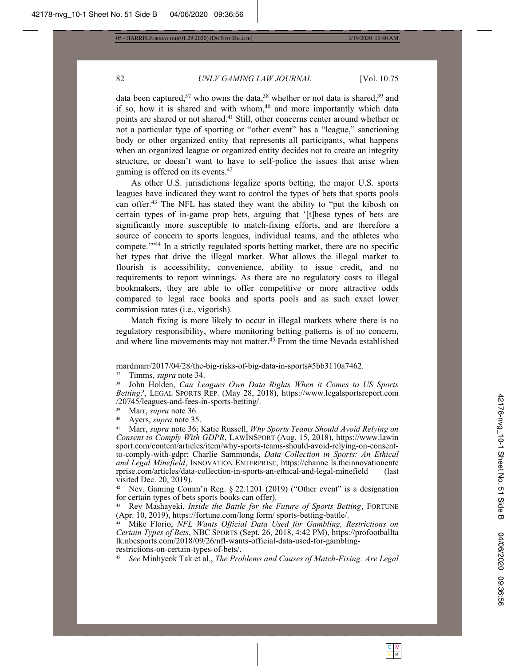82

05 - HARRIS.FORMATTED(01.29.2020) (DO NOT DELETE)

3/19/2020 10:40 AM

# UNLV GAMING LAW JOURNAL

[Vol. 10:75

data been captured,  $37$  who owns the data,  $38$  whether or not data is shared,  $39$  and if so, how it is shared and with whom,<sup>40</sup> and more importantly which data points are shared or not shared.<sup>41</sup> Still, other concerns center around whether or not a particular type of sporting or "other event" has a "league," sanctioning body or other organized entity that represents all participants, what happens when an organized league or organized entity decides not to create an integrity structure, or doesn't want to have to self-police the issues that arise when gaming is offered on its events.<sup>42</sup>

As other U.S. jurisdictions legalize sports betting, the major U.S. sports leagues have indicated they want to control the types of bets that sports pools can offer.<sup>43</sup> The NFL has stated they want the ability to "put the kibosh on certain types of in-game prop bets, arguing that '[t] hese types of bets are significantly more susceptible to match-fixing efforts, and are therefore a source of concern to sports leagues, individual teams, and the athletes who compete."<sup>44</sup> In a strictly regulated sports betting market, there are no specific bet types that drive the illegal market. What allows the illegal market to flourish is accessibility, convenience, ability to issue credit, and no requirements to report winnings. As there are no regulatory costs to illegal bookmakers, they are able to offer competitive or more attractive odds compared to legal race books and sports pools and as such exact lower commission rates (i.e., vigorish).

Match fixing is more likely to occur in illegal markets where there is no regulatory responsibility, where monitoring betting patterns is of no concern, and where line movements may not matter.<sup>45</sup> From the time Nevada established

<sup>42</sup> Nev. Gaming Comm'n Reg.  $\S$  22.1201 (2019) ("Other event" is a designation for certain types of bets sports books can offer).

Rey Mashayeki, *Inside the Battle for the Future of Sports Betting*, FORTUNE (Apr. 10, 2019), https://fortune.com/long.form/ sports-betting-battle/.

Mike Florio, NFL Wants Official Data Used for Gambling, Restrictions on Certain Types of Bets, NBC SPORTS (Sept. 26, 2018, 4:42 PM), https://profootballta lk.nbcsports.com/2018/09/26/nfl-wants-official-data-used-for-gamblingrestrictions-on-certain-types-of-bets/.

mardmarr/2017/04/28/the-big-risks-of-big-data-in-sports#5bb3110a7462.

Timms, *supra* note 34. 37

<sup>38</sup> John Holden, Can Leagues Own Data Rights When it Comes to US Sports Betting?, LEGAL SPORTS REP. (May 28, 2018), https://www.legalsportsreport.com /20745/leagues-and-fees-in-sports-betting/.

Marr, supra note 36.

<sup>40</sup> Ayers, *supra* note 35.

 $41$ Marr, supra note 36; Katie Russell, Why Sports Teams Should Avoid Relying on Consent to Comply With GDPR, LAWINSPORT (Aug. 15, 2018), https://www.lawin sport.com/content/articles/item/why-sports-teams-should-avoid-relying-on-consentto-comply-with-gdpr; Charlie Sammonds, *Data Collection in Sports: An Ethical* and Legal Minefield, INNOVATION ENTERPRISE, https://channe ls.theinnovationente rprise.com/articles/data-collection-in-sports-an-ethical-and-legal-minefield (last) visited Dec. 20, 2019).

See Minhyeok Tak et al., The Problems and Causes of Match-Fixing: Are Legal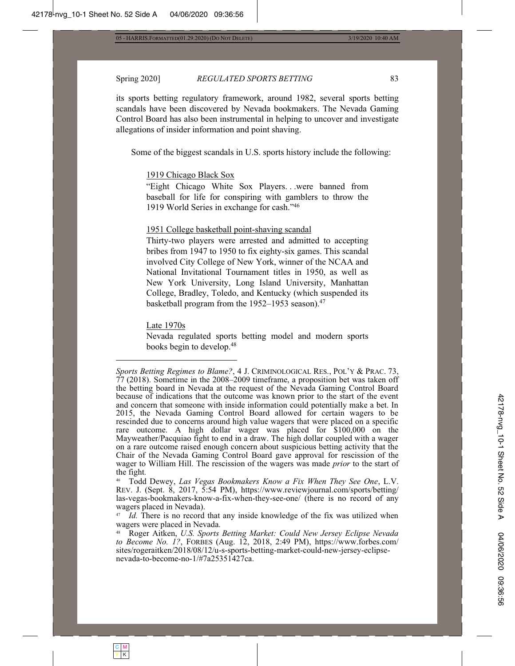3/19/2020 10:40 AM

#### Spring 2020]

REGULATED SPORTS BETTING

its sports betting regulatory framework, around 1982, several sports betting scandals have been discovered by Nevada bookmakers. The Nevada Gaming Control Board has also been instrumental in helping to uncover and investigate allegations of insider information and point shaving.

Some of the biggest scandals in U.S. sports history include the following:

### 1919 Chicago Black Sox

"Eight Chicago White Sox Players...were banned from baseball for life for conspiring with gamblers to throw the 1919 World Series in exchange for cash."46

#### 1951 College basketball point-shaving scandal

Thirty-two players were arrested and admitted to accepting bribes from 1947 to 1950 to fix eighty-six games. This scandal involved City College of New York, winner of the NCAA and National Invitational Tournament titles in 1950, as well as New York University, Long Island University, Manhattan College, Bradley, Toledo, and Kentucky (which suspended its basketball program from the  $1952-1953$  season).<sup>47</sup>

#### Late 1970s

Nevada regulated sports betting model and modern sports books begin to develop.<sup>48</sup>

 $46\text{ }$ Todd Dewey, Las Vegas Bookmakers Know a Fix When They See One, L.V. REV. J. (Sept. 8, 2017, 5:54 PM), https://www.reviewjournal.com/sports/betting/ las-vegas-bookmakers-know-a-fix-when-they-see-one/ (there is no record of any wagers placed in Nevada).

Id. There is no record that any inside knowledge of the fix was utilized when wagers were placed in Nevada.

Roger Aitken, U.S. Sports Betting Market: Could New Jersey Eclipse Nevada to Become No. 1?, FORBES (Aug. 12, 2018, 2:49 PM), https://www.forbes.com/ sites/rogeraitken/2018/08/12/u-s-sports-betting-market-could-new-jersey-eclipsenevada-to-become-no-1/#7a25351427ca.

Sports Betting Regimes to Blame?, 4 J. CRIMINOLOGICAL RES., POL'Y & PRAC. 73, 77 (2018). Sometime in the 2008–2009 timeframe, a proposition bet was taken off the betting board in Nevada at the request of the Nevada Gaming Control Board because of indications that the outcome was known prior to the start of the event and concern that someone with inside information could potentially make a bet. In 2015, the Nevada Gaming Control Board allowed for certain wagers to be rescinded due to concerns around high value wagers that were placed on a specific rare outcome. A high dollar wager was placed for \$100,000 on the Mayweather/Pacquiao fight to end in a draw. The high dollar coupled with a wager on a rare outcome raised enough concern about suspicious betting activity that the Chair of the Nevada Gaming Control Board gave approval for rescission of the wager to William Hill. The rescission of the wagers was made *prior* to the start of the fight.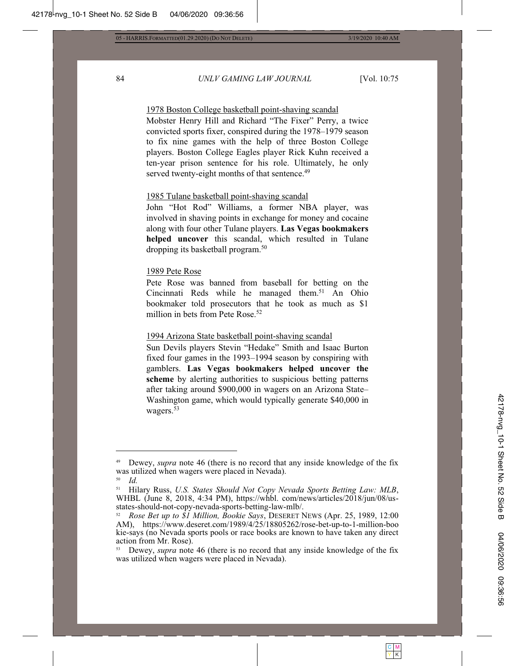#### 84 UNLV GAMING LAW JOURNAL [Vol. 10:75

1978 Boston College basketball point-shaving scandal

Mobster Henry Hill and Richard "The Fixer" Perry, a twice convicted sports fixer, conspired during the  $1978-1979$  season to fix nine games with the help of three Boston College players. Boston College Eagles player Rick Kuhn received a ten-year prison sentence for his role. Ultimately, he only served twenty-eight months of that sentence. $49$ 

### 1985 Tulane basketball point-shaving scandal

John "Hot Rod" Williams, a former NBA player, was involved in shaving points in exchange for money and cocaine along with four other Tulane players. Las Vegas bookmakers **helped uncover** this scandal, which resulted in Tulane dropping its basketball program.<sup>50</sup>

#### 1989 Pete Rose

Pete Rose was banned from baseball for betting on the Cincinnati Reds while he managed them.<sup>51</sup> An Ohio bookmaker told prosecutors that he took as much as \$1 million in bets from Pete Rose.<sup>52</sup>

### 1994 Arizona State basketball point-shaving scandal

Sun Devils players Stevin "Hedake" Smith and Isaac Burton fixed four games in the  $1993-1994$  season by conspiring with gamblers. Las Vegas bookmakers helped uncover the scheme by alerting authorities to suspicious betting patterns after taking around \$900,000 in wagers on an Arizona State-Washington game, which would typically generate \$40,000 in wagers.<sup>53</sup>

Dewey, *supra* note 46 (there is no record that any inside knowledge of the fix was utilized when wagers were placed in Nevada).

 $\frac{50}{51}$  *Id.* 

Hilary Russ, U.S. States Should Not Copy Nevada Sports Betting Law: MLB, WHBL (June 8, 2018, 4:34 PM), https://whbl. com/news/articles/2018/jun/08/usstates-should-not-copy-nevada-sports-betting-law-mlb/.

*Rose Bet up to \$1 Million, Bookie Says, DESERET NEWS (Apr. 25, 1989, 12:00)* AM), https://www.deseret.com/1989/4/25/18805262/rose-bet-up-to-1-million-boo kie-says (no Nevada sports pools or race books are known to have taken any direct action from Mr. Rose).

<sup>&</sup>lt;sup>53</sup> Dewey, *supra* note 46 (there is no record that any inside knowledge of the fix was utilized when wagers were placed in Nevada).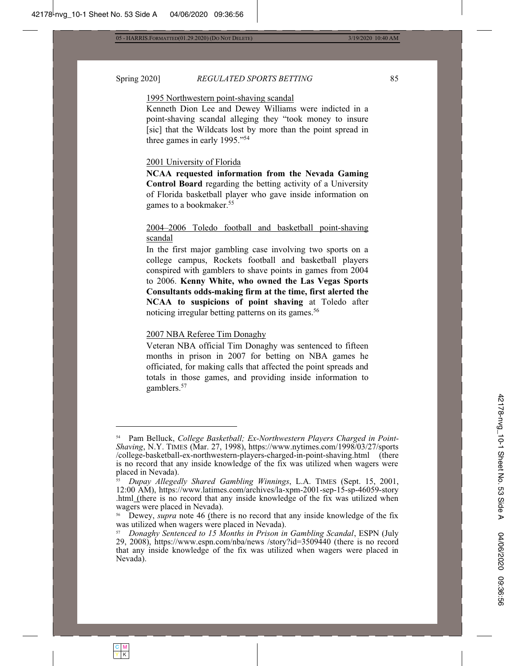C M Y | K

### Spring 2020] **REGULATED SPORTS BETTING** 85

#### 1995 Northwestern point-shaving scandal

Kenneth Dion Lee and Dewey Williams were indicted in a point-shaving scandal alleging they "took money to insure [sic] that the Wildcats lost by more than the point spread in three games in early  $1995.^{954}$ 

### 2001 University of Florida

**NCAA requested information from the Nevada Gaming Control Board** regarding the betting activity of a University of Florida basketball player who gave inside information on games to a bookmaker.<sup>55</sup>

# 2004–2006 Toledo football and basketball point-shaving scandal

In the first major gambling case involving two sports on a college campus, Rockets football and basketball players conspired with gamblers to shave points in games from 2004 to 2006. Kenny White, who owned the Las Vegas Sports **Consultants odds-making firm at the time, first alerted the NCAA to suspicions of point shaving at Toledo after** noticing irregular betting patterns on its games.<sup>56</sup>

#### 2007 NBA Referee Tim Donaghy

Veteran NBA official Tim Donaghy was sentenced to fifteen months in prison in 2007 for betting on NBA games he officiated, for making calls that affected the point spreads and totals in those games, and providing inside information to gamblers.<sup>57</sup>

<sup>&</sup>lt;sup>54</sup> Pam Belluck, College Basketball; Ex-Northwestern Players Charged in Point-*Shaving*, N.Y. TIMES (Mar. 27, 1998), https://www.nytimes.com/1998/03/27/sports /college-basketball-ex-northwestern-players-charged-in-point-shaving.html (there is no record that any inside knowledge of the fix was utilized when wagers were placed in Nevada).

*Dupay Allegedly Shared Gambling Winnings*, L.A. TIMES (Sept. 15, 2001, 12:00 AM), https://www.latimes.com/archives/la-xpm-2001-sep-15-sp-46059-story html (there is no record that any inside knowledge of the fix was utilized when wagers were placed in Nevada).

Dewey, *supra* note 46 (there is no record that any inside knowledge of the fix was utilized when wagers were placed in Nevada).

<sup>&</sup>lt;sup>57</sup> Donaghy Sentenced to 15 Months in Prison in Gambling Scandal, ESPN (July 29, 2008), https://www.espn.com/nba/news /story?id=3509440 (there is no record that any inside knowledge of the fix was utilized when wagers were placed in Nevada).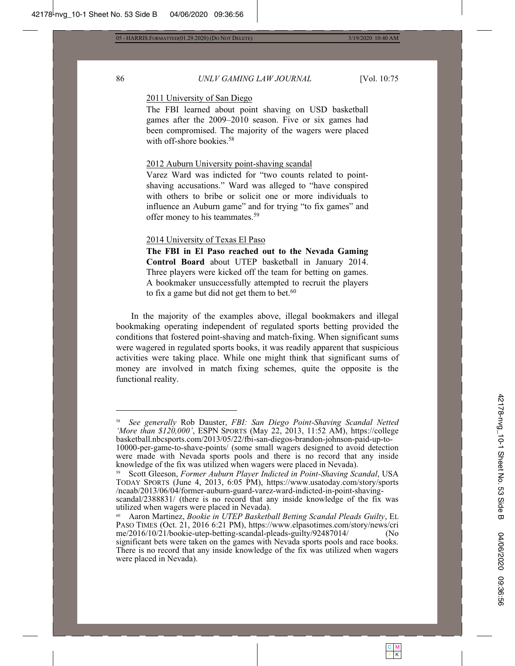# 86 UNLV GAMING LAW JOURNAL [Vol. 10:75

# 2011 University of San Diego

The FBI learned about point shaving on USD basketball games after the 2009–2010 season. Five or six games had been compromised. The majority of the wagers were placed with off-shore bookies. $58$ 

#### 2012 Auburn University point-shaving scandal

Varez Ward was indicted for "two counts related to pointshaving accusations." Ward was alleged to "have conspired with others to bribe or solicit one or more individuals to influence an Auburn game" and for trying "to fix games" and offer money to his teammates.<sup>59</sup>

## 2014 University of Texas El Paso

**The FBI in El Paso reached out to the Nevada Gaming**  Control Board about UTEP basketball in January 2014. Three players were kicked off the team for betting on games. A bookmaker unsuccessfully attempted to recruit the players to fix a game but did not get them to bet. $60$ 

In the majority of the examples above, illegal bookmakers and illegal bookmaking operating independent of regulated sports betting provided the conditions that fostered point-shaving and match-fixing. When significant sums were wagered in regulated sports books, it was readily apparent that suspicious activities were taking place. While one might think that significant sums of money are involved in match fixing schemes, quite the opposite is the functional reality.

See generally Rob Dauster, FBI: San Diego Point-Shaving Scandal Netted '*More than \$120,000'*, ESPN SPORTS (May 22, 2013, 11:52 AM), https://college basketball.nbcsports.com/2013/05/22/fbi-san-diegos-brandon-johnson-paid-up-to-10000-per-game-to-shave-points/ (some small wagers designed to avoid detection were made with Nevada sports pools and there is no record that any inside knowledge of the fix was utilized when wagers were placed in Nevada).

Scott Gleeson, Former Auburn Player Indicted in Point-Shaving Scandal, USA TODAY SPORTS (June 4, 2013, 6:05 PM), https://www.usatoday.com/story/sports /ncaab/2013/06/04/former-auburn-guard-varez-ward-indicted-in-point-shaving-

scandal/2388831/ (there is no record that any inside knowledge of the fix was utilized when wagers were placed in Nevada).

Aaron Martinez, Bookie in UTEP Basketball Betting Scandal Pleads Guilty, EL PASO TIMES (Oct. 21, 2016 6:21 PM), https://www.elpasotimes.com/story/news/cri  $me/2016/10/21/bookie-utep-betting-scandal-pleads-guilty/92487014$  (No significant bets were taken on the games with Nevada sports pools and race books. There is no record that any inside knowledge of the fix was utilized when wagers were placed in Nevada).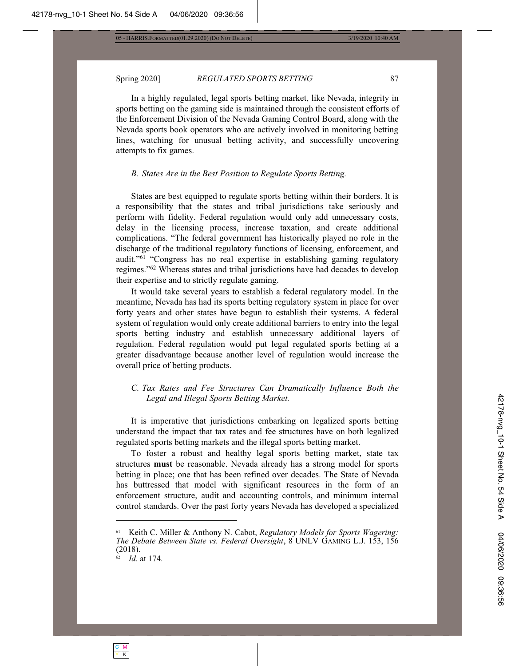#### Spring 2020] **REGULATED SPORTS BETTING** 87

In a highly regulated, legal sports betting market, like Nevada, integrity in sports betting on the gaming side is maintained through the consistent efforts of the Enforcement Division of the Nevada Gaming Control Board, along with the Nevada sports book operators who are actively involved in monitoring betting lines, watching for unusual betting activity, and successfully uncovering attempts to fix games.

#### *B. States Are in the Best Position to Regulate Sports Betting.*

States are best equipped to regulate sports betting within their borders. It is a responsibility that the states and tribal jurisdictions take seriously and perform with fidelity. Federal regulation would only add unnecessary costs, delay in the licensing process, increase taxation, and create additional complications. "The federal government has historically played no role in the discharge of the traditional regulatory functions of licensing, enforcement, and audit."<sup>61</sup> "Congress has no real expertise in establishing gaming regulatory regimes."<sup>62</sup> Whereas states and tribal jurisdictions have had decades to develop their expertise and to strictly regulate gaming.

It would take several years to establish a federal regulatory model. In the meantime, Nevada has had its sports betting regulatory system in place for over forty years and other states have begun to establish their systems. A federal system of regulation would only create additional barriers to entry into the legal sports betting industry and establish unnecessary additional layers of regulation. Federal regulation would put legal regulated sports betting at a greater disadvantage because another level of regulation would increase the overall price of betting products.

# *C. Tax Rates and Fee Structures Can Dramatically Influence Both the Legal and Illegal Sports Betting Market.*

It is imperative that jurisdictions embarking on legalized sports betting understand the impact that tax rates and fee structures have on both legalized regulated sports betting markets and the illegal sports betting market.

To foster a robust and healthy legal sports betting market, state tax structures **must** be reasonable. Nevada already has a strong model for sports betting in place; one that has been refined over decades. The State of Nevada has buttressed that model with significant resources in the form of an enforcement structure, audit and accounting controls, and minimum internal control standards. Over the past forty years Nevada has developed a specialized

Keith C. Miller & Anthony N. Cabot, *Regulatory Models for Sports Wagering: The Debate Between State vs. Federal Oversight*, 8 UNLV GAMING L.J. 153, 156  $(2018).$ 

 $\ddot{a}$  *Id.* at 174.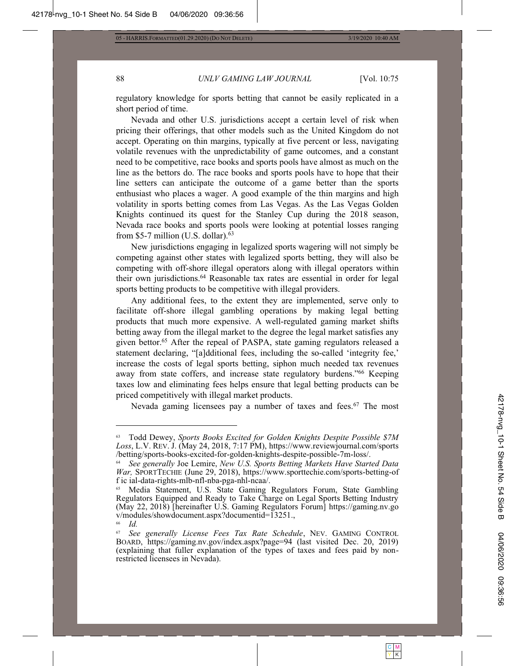# 88 *UNLV GAMING LAW JOURNAL* [Vol. 10:75

regulatory knowledge for sports betting that cannot be easily replicated in a short period of time.

Nevada and other U.S. jurisdictions accept a certain level of risk when pricing their offerings, that other models such as the United Kingdom do not accept. Operating on thin margins, typically at five percent or less, navigating volatile revenues with the unpredictability of game outcomes, and a constant need to be competitive, race books and sports pools have almost as much on the line as the bettors do. The race books and sports pools have to hope that their line setters can anticipate the outcome of a game better than the sports enthusiast who places a wager. A good example of the thin margins and high volatility in sports betting comes from Las Vegas. As the Las Vegas Golden Knights continued its quest for the Stanley Cup during the 2018 season, Nevada race books and sports pools were looking at potential losses ranging from \$5-7 million (U.S. dollar). $63$ 

New jurisdictions engaging in legalized sports wagering will not simply be competing against other states with legalized sports betting, they will also be competing with off-shore illegal operators along with illegal operators within their own jurisdictions.<sup>64</sup> Reasonable tax rates are essential in order for legal sports betting products to be competitive with illegal providers.

Any additional fees, to the extent they are implemented, serve only to facilitate off-shore illegal gambling operations by making legal betting products that much more expensive. A well-regulated gaming market shifts betting away from the illegal market to the degree the legal market satisfies any given bettor.<sup>65</sup> After the repeal of PASPA, state gaming regulators released a statement declaring, "[a]dditional fees, including the so-called 'integrity fee,' increase the costs of legal sports betting, siphon much needed tax revenues away from state coffers, and increase state regulatory burdens."<sup>66</sup> Keeping taxes low and eliminating fees helps ensure that legal betting products can be priced competitively with illegal market products.

Nevada gaming licensees pay a number of taxes and fees.<sup>67</sup> The most

Todd Dewey, Sports Books Excited for Golden Knights Despite Possible \$7M Loss, L.V. REV. J. (May 24, 2018, 7:17 PM), https://www.reviewjournal.com/sports /betting/sports-books-excited-for-golden-knights-despite-possible-7m-loss/.

*See generally Joe Lemire, New U.S. Sports Betting Markets Have Started Data* War, SPORTTECHIE (June 29, 2018), https://www.sporttechie.com/sports-betting-of f ic ial-data-rights-mlb-nfl-nba-pga-nhl-ncaa/.

<sup>&</sup>lt;sup>65</sup> Media Statement, U.S. State Gaming Regulators Forum, State Gambling Regulators Equipped and Ready to Take Charge on Legal Sports Betting Industry (May 22, 2018) [hereinafter U.S. Gaming Regulators Forum] https://gaming.nv.go  $v/modules/show document.aspx? documentid=13251.$ 

*Id.*

<sup>&</sup>lt;sup>67</sup> See generally License Fees Tax Rate Schedule, NEV. GAMING CONTROL BOARD, https://gaming.nv.gov/index.aspx?page=94 (last visited Dec. 20, 2019) (explaining that fuller explanation of the types of taxes and fees paid by nonrestricted licensees in Nevada).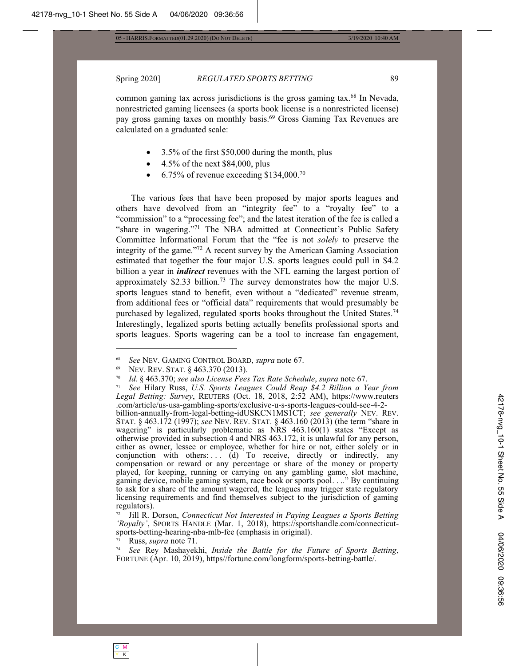3/19/2020 10:40 AM

Spring 2020]

#### **REGULATED SPORTS BETTING**

common gaming tax across jurisdictions is the gross gaming tax.<sup>68</sup> In Nevada, nonrestricted gaming licensees (a sports book license is a nonrestricted license) pay gross gaming taxes on monthly basis.<sup>69</sup> Gross Gaming Tax Revenues are calculated on a graduated scale:

- 3.5% of the first \$50,000 during the month, plus
- 4.5% of the next \$84,000, plus
- $6.75\%$  of revenue exceeding \$134,000.<sup>70</sup>

The various fees that have been proposed by major sports leagues and others have devolved from an "integrity fee" to a "royalty fee" to a "commission" to a "processing fee"; and the latest iteration of the fee is called a "share in wagering."<sup>71</sup> The NBA admitted at Connecticut's Public Safety Committee Informational Forum that the "fee is not solely to preserve the integrity of the game."<sup>72</sup> A recent survey by the American Gaming Association estimated that together the four major U.S. sports leagues could pull in \$4.2 billion a year in *indirect* revenues with the NFL earning the largest portion of approximately \$2.33 billion.<sup>73</sup> The survey demonstrates how the major U.S. sports leagues stand to benefit, even without a "dedicated" revenue stream, from additional fees or "official data" requirements that would presumably be purchased by legalized, regulated sports books throughout the United States.<sup>74</sup> Interestingly, legalized sports betting actually benefits professional sports and sports leagues. Sports wagering can be a tool to increase fan engagement,

 $72$  Jill R. Dorson, Connecticut Not Interested in Paying Leagues a Sports Betting 'Royalty', SPORTS HANDLE (Mar. 1, 2018), https://sportshandle.com/connecticutsports-betting-hearing-nba-mlb-fee (emphasis in original).

Russ, *supra* note 71.

74 See Rey Mashayekhi, Inside the Battle for the Future of Sports Betting, FORTUNE (Apr. 10, 2019), https//fortune.com/longform/sports-betting-battle/.

89

See NEV. GAMING CONTROL BOARD, supra note 67.

NEV. REV. STAT. § 463.370 (2013).

 $70<sup>°</sup>$ Id. § 463.370; see also License Fees Tax Rate Schedule, supra note 67.

 $71$ See Hilary Russ, U.S. Sports Leagues Could Reap \$4.2 Billion a Year from Legal Betting: Survey, REUTERS (Oct. 18, 2018, 2:52 AM), https://www.reuters .com/article/us-usa-gambling-sports/exclusive-u-s-sports-leagues-could-see-4-2-

billion-annually-from-legal-betting-idUSKCN1MS1CT; see generally NEV. REV.<br>STAT. § 463.172 (1997); see NEV. REV. STAT. § 463.160 (2013) (the term "share in wagering" is particularly problematic as NRS 463.160(1) states "Ex otherwise provided in subsection 4 and NRS 463.172, it is unlawful for any person, either as owner, lessee or employee, whether for hire or not, either solely or in conjunction with others:... (d) To receive, directly or indirectly, any compensation or reward or any percentage or share of the money or property played, for keeping, running or carrying on any gambling game, slot machine, gaming device, mobile gaming system, race book or sports pool. . .." By continuing to ask for a share of the amount wagered, the leagues may trigger state regulatory licensing requirements and find themselves subject to the jurisdiction of gaming regulators).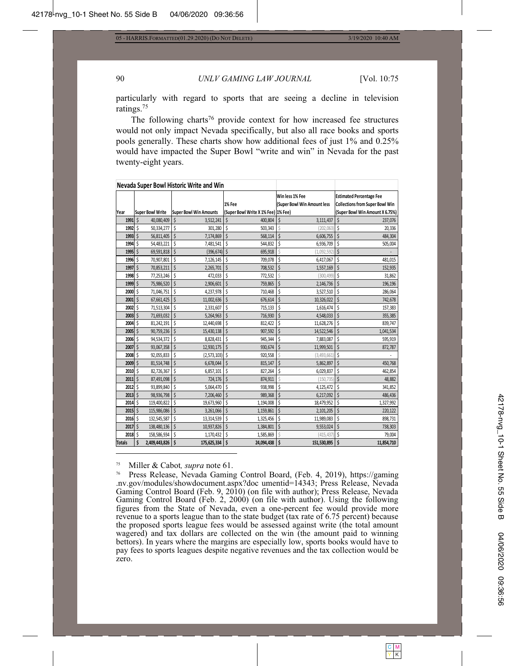#### 90

# UNLV GAMING LAW JOURNAL

[Vol. 10:75

particularly with regard to sports that are seeing a decline in television ratings. $75$ 

The following charts<sup>76</sup> provide context for how increased fee structures would not only impact Nevada specifically, but also all race books and sports pools generally. These charts show how additional fees of just 1% and 0.25% would have impacted the Super Bowl "write and win" in Nevada for the past twenty-eight years.

| Nevada Super Bowl Historic Write and Win |                         |                               |                                     |                                                |                                                                           |
|------------------------------------------|-------------------------|-------------------------------|-------------------------------------|------------------------------------------------|---------------------------------------------------------------------------|
|                                          |                         |                               | 1% Fee                              | Win less 1% Fee<br>(Super Bowl Win Amount less | <b>Estimated Percentage Fee</b><br><b>Collections from Super Bowl Win</b> |
| Year                                     | <b>Super Bowl Write</b> | <b>Super Bowl Win Amounts</b> | (Super Bowl Write X 1% Fee) 1% Fee) |                                                | (Super Bowl Win Amount X 6.75%)                                           |
| 1991                                     | <sup>\$</sup>           | Ś                             | Ś                                   | \$                                             | Ś                                                                         |
|                                          | 40,080,409              | 3,512,241                     | 400.804                             | 3,111,437                                      | 237,076                                                                   |
| 1992                                     | \$                      | Ś                             | \$                                  | Ŝ                                              | \$                                                                        |
|                                          | 50,334,277              | 301,280                       | 503,343                             | (202, 063)                                     | 20,336                                                                    |
| 1993                                     | Ŝ                       | Ś                             | Ś                                   | Ś                                              | Ś                                                                         |
|                                          | 56,811,405              | 7,174,869                     | 568,114                             | 6,606,755                                      | 484,304                                                                   |
| 1994                                     | Ś                       | Ś                             | \$                                  | \$                                             | \$                                                                        |
|                                          | 54,483,221              | 7,481,541                     | 544,832                             | 6,936,709                                      | 505,004                                                                   |
| 1995                                     | Ś<br>69,591,818         | \$<br>(396, 674)              | \$<br>695,918                       | Ŝ<br>(1,092,592)                               | \$                                                                        |
| 1996                                     | \$                      | Ś                             | Ś                                   | \$                                             | \$                                                                        |
|                                          | 70,907,801              | 7,126,145                     | 709,078                             | 6,417,067                                      | 481,015                                                                   |
| 1997                                     | \$                      | Ś                             | \$                                  | \$                                             | \$                                                                        |
|                                          | 70,853,211              | 2,265,701                     | 708,532                             | 1,557,169                                      | 152,935                                                                   |
| 1998                                     | Ś                       | Ŝ                             | Ś                                   | Ś                                              | Ś                                                                         |
|                                          | 77,253,246              | 472,033                       | 772,532                             | (300, 499)                                     | 31,862                                                                    |
| 1999                                     | Ś                       | $\zeta$                       | \$                                  | \$                                             | \$                                                                        |
|                                          | 75,986,520              | 2,906,601                     | 759,865                             | 2,146,736                                      | 196,196                                                                   |
| 2000                                     | Ś                       | \$                            | Ś                                   | \$                                             | Ś                                                                         |
|                                          | 71,046,751              | 4,237,978                     | 710,468                             | 3,527,510                                      | 286,064                                                                   |
| 2001                                     | Ś                       | Ś                             | Ś                                   | \$                                             | Ś                                                                         |
|                                          | 67,661,425              | 11,002,636                    | 676,614                             | 10,326,022                                     | 742,678                                                                   |
| 2002                                     | \$                      | Ś                             | \$                                  | \$                                             | \$                                                                        |
|                                          | 71,513,304              | 2,331,607                     | 715,133                             | 1,616,474                                      | 157,383                                                                   |
| 2003                                     | Ŝ                       | Ś                             | Ś                                   | \$                                             | Ś                                                                         |
|                                          | 71,693,032              | 5,264,963                     | 716,930                             | 4,548,033                                      | 355,385                                                                   |
| 2004                                     | Ś                       | Ś                             | \$                                  | \$                                             | \$                                                                        |
|                                          | 81,242,191              | 12,440,698                    | 812,422                             | 11,628,276                                     | 839,747                                                                   |
| 2005                                     | Ś                       | \$                            | \$                                  | \$                                             | \$                                                                        |
|                                          | 90,759,236              | 15,430,138                    | 907,592                             | 14,522,546                                     | 1,041,534                                                                 |
| 2006                                     | \$                      | Ŝ                             | Ś                                   | \$                                             | \$                                                                        |
|                                          | 94,534,372              | 8,828,431                     | 945,344                             | 7,883,087                                      | 595,919                                                                   |
| 2007                                     | \$                      | \$                            | \$                                  | \$                                             | \$                                                                        |
|                                          | 93,067,358              | 12,930,175                    | 930,674                             | 11,999,501                                     | 872,787                                                                   |
| 2008                                     | Ŝ<br>92,055,833         | Ŝ<br>(2, 573, 103)            | Ś<br>920,558                        | Ś<br>(3, 493, 661)                             | \$                                                                        |
| 2009                                     | Ś                       | $\zeta$                       | \$                                  | \$                                             | Ś                                                                         |
|                                          | 81,514,748              | 6,678,044                     | 815,147                             | 5,862,897                                      | 450,768                                                                   |
| 2010                                     | Ś                       | \$                            | Ś                                   | \$                                             | \$                                                                        |
|                                          | 82,726,367              | 6,857,101                     | 827,264                             | 6,029,837                                      | 462,854                                                                   |
| 2011                                     | Ś                       | Ś                             | Ś                                   | Ś                                              | Ś                                                                         |
|                                          | 87,491,098              | 724,176                       | 874,911                             | (150, 735)                                     | 48,882                                                                    |
| 2012                                     | \$                      | Ś                             | \$                                  | \$                                             | Ś                                                                         |
|                                          | 93,899,840              | 5,064,470                     | 938,998                             | 4,125,472                                      | 341,852                                                                   |
| 2013                                     | 98,936,798              | Ś<br>7,206,460                | Ś<br>989,368                        | \$<br>6,217,092                                | Ś<br>486,436                                                              |
| 2014                                     | Ś                       | Ś                             | \$                                  | \$                                             | \$                                                                        |
|                                          | 119,400,822             | 19,673,960                    | 1,194,008                           | 18,479,952                                     | 1,327,992                                                                 |
| 2015                                     | Ś                       | \$                            | \$                                  | \$                                             | \$                                                                        |
|                                          | 115,986,086             | 3,261,066                     | 1,159,861                           | 2,101,205                                      | 220,122                                                                   |
| 2016                                     | \$                      | Ś                             | Ś                                   | \$                                             | \$                                                                        |
|                                          | 132,545,587             | 13,314,539                    | 1,325,456                           | 11,989,083                                     | 898,731                                                                   |
| 2017                                     | \$                      | \$                            | Ś                                   | \$                                             | \$                                                                        |
|                                          | 138,480,136             | 10,937,826                    | 1,384,801                           | 9,553,024                                      | 738,303                                                                   |
| 2018 S                                   | 158,586,934             | Ŝ<br>1,170,432                | Ś<br>1,585,869                      | Ś<br>(415, 437)                                | \$<br>79,004                                                              |
| <b>Totals</b>                            | Ś                       | Ś                             | \$                                  | \$                                             | \$                                                                        |
|                                          | 2,409,443,826           | 175,625,334                   | 24,094,438                          | 151,530,895                                    | 11,854,710                                                                |

 $75\,$ Miller & Cabot, *supra* note 61.

 $76\,$ Press Release, Nevada Gaming Control Board, (Feb. 4, 2019), https://gaming .nv.gov/modules/showdocument.aspx?doc\_umentid=14343; Press\_Release, Nevada Gaming Control Board (Feb. 9, 2010) (on file with author); Press Release, Nevada Gaming Control Board (Feb. 2, 2000) (on file with author). Using the following figures from the State of Nevada, even a one-percent fee would provide more revenue to a sports league than to the state budget (tax rate of 6.75 percent) because the proposed sports league fees would be assessed against write (the total amount wagered) and tax dollars are collected on the win (the amount paid to winning bettors). In years where the margins are especially low, sports books would have to pay fees to sports leagues despite negative revenues and the tax collection would be zero.

 $\frac{|C| M}{|Y| K}$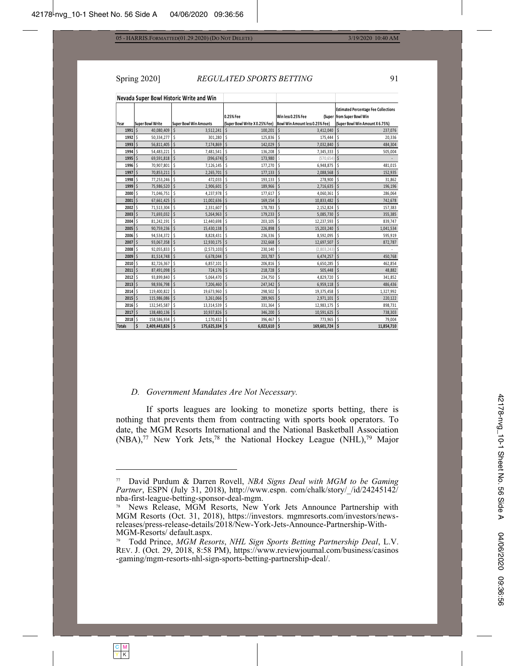#### Spring 2020] **REGULATED SPORTS BETTING** 91

**Nevada Super Bowl Historic Write and Win z** Bowl Write Super Bowl Win Ame 0.25% Fee **Super Bowl Write X 0.25% Fee)** Win less 0.25% Fee (Supe **Bowl Win Amount less 0.25% Fee) Estimated Percentage Fee Collections** from Super Bowl Win **(Super Bowl Win Amount X 6.75%) ϭϵϵϭ** Ψ ϯ͕ϱϭϮ͕Ϯϰϭ ϰϬ͕ϬϴϬ͕ϰϬϵ Ψ ϭϬϬ͕ϮϬϭ Ψ ϯ͕ϰϭϮ͕ϬϰϬ Ψ Ϯϯϳ͕Ϭϳ Ψ ϲ **ϭϵϵϮ** Ψ ϯϬϭ͕ϮϴϬ ϱϬ͕ϯϯϰ͕Ϯϳϳ Ψ ϭϮϱ͕ϴϯϲ Ψ ϭϳϱ͕ϰϰϰ Ψ ϮϬ Ψ ͕ϯϯϲ **1993** | \$ 56,811,405 | \$ 7,174,869 | \$ 142,029 | \$ 7,132,840 | \$ 7,032,840 | \$ 484,304 **- 1994** | \$ 54,483,221 | \$ 7,481,541 | \$ 7,681,541 | \$ 7,345,700 | \$ 7,345,333 | \$ 505,004 - 69,591,818 | \$ (396,674)| \$ 173,980 | \$ (570,654)| \$ **- \$ (69,674)|** \$ - \$ (570,654) **- 1996 | \$1996 | 1998 | 1998 | 1998 | 1998 | 1998 | 1998 | 2008 | 17/,270 | \$** 0,948,875 | \$481,015 **1997** | \$/0,853,211 | \$/2,935 | من المستخدم المستخدم المستخدم المستخدم المستخدم المستخدم المستخدم المستخدم المستخدم **ϭϵϵϴ** Ψ ϰϳϮ͕Ϭϯϯ ϳϳ͕Ϯϱϯ͕Ϯϰϲ Ψ ϭϵϯ͕ϭϯϯ Ψ Ϯϳϴ͕ϵϬϬ Ψ ϯϭ Ψ ͕ϴϲϮ **1999** (\$1,986,520 (\$1,966,000 × 1,9906,601 (\$1,996) × 189,966 (\$1,996) × 2,716,635 (\$1,996) × 196,196 <del>2000|\$</del> /1,046,/51|\$ 4,23/,9/8|\$ 1//,61/|\$ 4,060,361|\$ 286,064 10,833,482 |Ş 67,661,425 |Ş 11,002,636 |Ş 169,154 |Ş 10,833,482 |Ş 2001 |Ş 67,661,425 | 17,13,304 S (1,513,304 S (1,513,304 S (1,513,383 S (1,513,824 S (1,513,834 S US/,383 <del>1/03 (</del>1,693,032 (\$1,693,032) 5,264,963 (\$1,000,000 ± 1/9,233 (\$1,000,000 ± 5,085,730 \$1,000 ± 5,085,385 \$1,000 7004|Ş 81,242,191|Ş 12,440,698|Ş 203,105|Ş 12,237,<del>593|Ş 839,747</del> <del>7 دور 1900 کا 1900 کا 15,430,138 کا 15,430,138 کا 226,898 کا 15,203,240 کا 15,203,240 کا 1,041,534 کا 2005 کا</del> <del>2006</del>|\$94,534,372 |\$8,828,431 |\$25,936 |\$8,592,095 |\$94,534,372 |\$ **ϮϬϬϳ** Ψ ϭϮ͕ϵϯϬ͕ϭϳϱ ϵϯ͕Ϭϲϳ͕ϯϱϴ Ψ ϮϯϮ͕ϲϲϴ Ψ ϭϮ͕ϲϵϳ͕ϱϬϳ Ψ ϴϳϮ͕ϳϴϳ Ψ − 2008|\$92,055,833|\$(2,573,103)|\$230,140|\$230,140|\$2,803,243)|\$ **ϮϬϬϵ** Ψ ϲ͕ϲϳϴ͕Ϭϰϰ ϴϭ͕ϱϭϰ͕ϳϰϴ Ψ ϮϬϯ͕ϳϴϳ Ψ ϲ͕ϰϳϰ͕Ϯϱϳ Ψ ϰϱϬ͕ϳϲ Ψ ϴ **2010** |Ş 82,726,367 |Ş - 6,857,101 |Ş - 206,816 |Ş - 6,650,285 |Ş - 462,854 **ϮϬϭϭ** Ψ ϳϮϰ͕ϭϳϲ ϴϳ͕ϰϵϭ͕Ϭϵϴ Ψ Ϯϭϴ͕ϳϮϴ Ψ ϱϬϱ͕ϰϰϴ Ψ ϰϴ Ψ ͕ϴϴϮ **ϮϬϭϮ** Ψ ϱ͕Ϭϲϰ͕ϰϳϬ ϵϯ͕ϴϵϵ͕ϴϰϬ Ψ Ϯϯϰ͕ϳϱϬ Ψ ϰ͕ϴϮϵ͕ϳϮϬ Ψ ϯϰϭ͕ϴϱ Ψ Ϯ **ϮϬϭϯ** Ψ ϳ͕ϮϬϲ͕ϰϲϬ ϵϴ͕ϵϯϲ͕ϳϵϴ Ψ Ϯϰϳ͕ϯϰϮ Ψ ϲ͕ϵϱϵ͕ϭϭϴ Ψ ϰϴϲ͕ϰϯ Ψ ϲ **ϮϬϭϰ** Ψ ϭϵ͕ϲϳϯ͕ϵϲϬ ϭϭϵ͕ϰϬϬ͕ϴϮϮ Ψ Ϯϵϴ͕ϱϬϮ Ψ ϭϵ͕ϯϳϱ͕ϰϱϴ Ψ ϭ͕ϯϮϳ͕ϵϵϮ Ψ **ϮϬϭϱ** Ψ ϯ͕Ϯϲϭ͕Ϭϲϲ ϭϭϱ͕ϵϴϲ͕Ϭϴϲ Ψ Ϯϴϵ͕ϵϲϱ Ψ Ϯ͕ϵϳϭ͕ϭϬϭ Ψ ϮϮϬ͕ϭϮ Ψ Ϯ **ϮϬϭϲ** Ψ ϭϯ͕ϯϭϰ͕ϱϯϵ ϭϯϮ͕ϱϰϱ͕ϱϴϳ Ψ ϯϯϭ͕ϯϲϰ Ψ ϭϮ͕ϵϴϯ͕ϭϳϱ Ψ ϴϵϴ͕ϳϯϭ Ψ **ϮϬϭϳ** Ψ ϭϬ͕ϵϯϳ͕ϴϮϲ ϭϯϴ͕ϰϴϬ͕ϭϯϲ Ψ ϯϰϲ͕ϮϬϬ Ψ ϭϬ͕ϱϵϭ͕ϲϮϱ Ψ ϳϯϴ͕ϯϬϯ Ψ <del>760,001 (19,000,000) (19,004 (19,000) (19,000) (2018) (19,000) (2018) (19,000) (19,000) (2018) (201</del> **a**<sub>2</sub>,409,443,826 \$ 175,625,334 \$ 6,023,610 \$ 169,601,724 \$ 11,854,710

#### *D. Government Mandates Are Not Necessary.*

If sports leagues are looking to monetize sports betting, there is nothing that prevents them from contracting with sports book operators. To date, the MGM Resorts International and the National Basketball Association  $(NBA)$ ,<sup>77</sup> New York Jets,<sup>78</sup> the National Hockey League (NHL),<sup>79</sup> Major



<sup>&</sup>lt;sup>77</sup> David Purdum & Darren Rovell, *NBA Signs Deal with MGM to be Gaming* Partner, ESPN (July 31, 2018), http://www.espn. com/chalk/story/ /id/24245142/ nba-first-league-betting-sponsor-deal-mgm.

<sup>&</sup>lt;sup>78</sup> News Release, MGM Resorts, New York Jets Announce Partnership with MGM Resorts (Oct. 31, 2018), https://investors. mgmresorts.com/investors/newsreleases/press-release-details/2018/New-York-Jets-Announce-Partnership-With-MGM-Resorts/default.aspx.

Todd Prince, MGM Resorts, NHL Sign Sports Betting Partnership Deal, L.V. REV. J. (Oct. 29, 2018, 8:58 PM), https://www.reviewjournal.com/business/casinos -gaming/mgm-resorts-nhl-sign-sports-betting-partnership-deal/.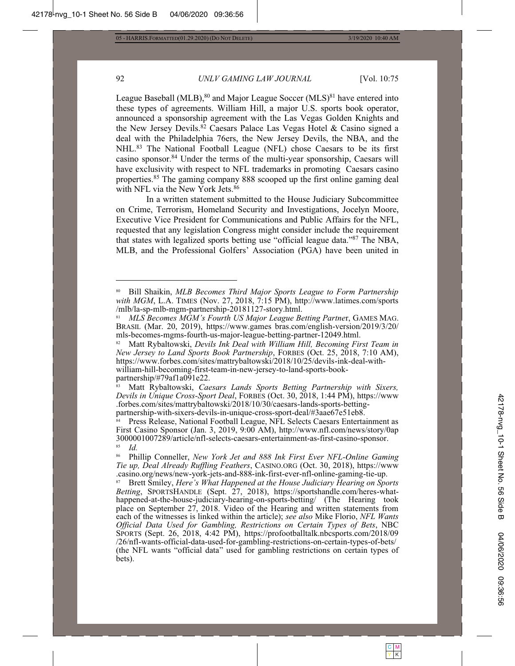3/19/2020 10:40 AM

# 92

# UNLV GAMING LAW JOURNAL

[Vol. 10:75

League Baseball (MLB),<sup>80</sup> and Major League Soccer (MLS)<sup>81</sup> have entered into these types of agreements. William Hill, a major U.S. sports book operator, announced a sponsorship agreement with the Las Vegas Golden Knights and the New Jersey Devils.<sup>82</sup> Caesars Palace Las Vegas Hotel & Casino signed a deal with the Philadelphia 76ers, the New Jersey Devils, the NBA, and the NHL.<sup>83</sup> The National Football League (NFL) chose Caesars to be its first casino sponsor.<sup>84</sup> Under the terms of the multi-year sponsorship, Caesars will have exclusivity with respect to NFL trademarks in promoting Caesars casino properties.<sup>85</sup> The gaming company 888 scooped up the first online gaming deal with NFL via the New York Jets.<sup>86</sup>

In a written statement submitted to the House Judiciary Subcommittee on Crime, Terrorism, Homeland Security and Investigations, Jocelyn Moore, Executive Vice President for Communications and Public Affairs for the NFL, requested that any legislation Congress might consider include the requirement that states with legalized sports betting use "official league data."<sup>87</sup> The NBA, MLB, and the Professional Golfers' Association (PGA) have been united in

Bill Shaikin, MLB Becomes Third Major Sports League to Form Partnership with MGM, L.A. TIMES (Nov. 27, 2018, 7:15 PM), http://www.latimes.com/sports /mlb/la-sp-mlb-mgm-partnership-20181127-story.html.

<sup>81</sup> MLS Becomes MGM's Fourth US Major League Betting Partner, GAMES MAG. BRASIL (Mar. 20, 2019), https://www.games.bras.com/english-version/2019/3/20/ mls-becomes-mgms-fourth-us-major-league-betting-partner-12049.html.

Matt Rybaltowski, Devils Ink Deal with William Hill, Becoming First Team in New Jersey to Land Sports Book Partnership, FORBES (Oct. 25, 2018, 7:10 AM), https://www.forbes.com/sites/mattrybaltowski/2018/10/25/devils-ink-deal-withwilliam-hill-becoming-first-team-in-new-jersey-to-land-sports-bookpartnership/#79af1a091e22.

Matt Rybaltowski, Caesars Lands Sports Betting Partnership with Sixers, Devils in Unique Cross-Sport Deal, FORBES (Oct. 30, 2018, 1:44 PM), https://www .forbes.com/sites/mattrybaltowski/2018/10/30/caesars-lands-sports-bettingpartnership-with-sixers-devils-in-unique-cross-sport-deal/#3aae67e51eb8.

Press Release, National Football League, NFL Selects Caesars Entertainment as First Casino Sponsor (Jan. 3, 2019, 9:00 AM), http://www.nfl.com/news/story/0ap 3000001007289/article/nfl-selects-caesars-entertainment-as-first-casino-sponsor. 85 Id.

<sup>86</sup> Phillip Conneller, New York Jet and 888 Ink First Ever NFL-Online Gaming Tie up, Deal Already Ruffling Feathers, CASINO.ORG (Oct. 30, 2018), https://www .casino.org/news/new-york-jets-and-888-ink-first-ever-nfl-online-gaming-tie-up.

Brett Smiley, Here's What Happened at the House Judiciary Hearing on Sports 87 Betting, SPORTSHANDLE (Sept. 27, 2018), https://sportshandle.com/heres-whathappened-at-the-house-judiciary-hearing-on-sports-betting/ (The Hearing took place on September 27, 2018. Video of the Hearing and written statements from each of the witnesses is linked within the article); see also Mike Florio, NFL Wants Official Data Used for Gambling, Restrictions on Certain Types of Bets, NBC SPORTS (Sept. 26, 2018, 4:42 PM), https://profootballtalk.nbcsports.com/2018/09 /26/nfl-wants-official-data-used-for-gambling-restrictions-on-certain-types-of-bets/ (the NFL wants "official data" used for gambling restrictions on certain types of bets).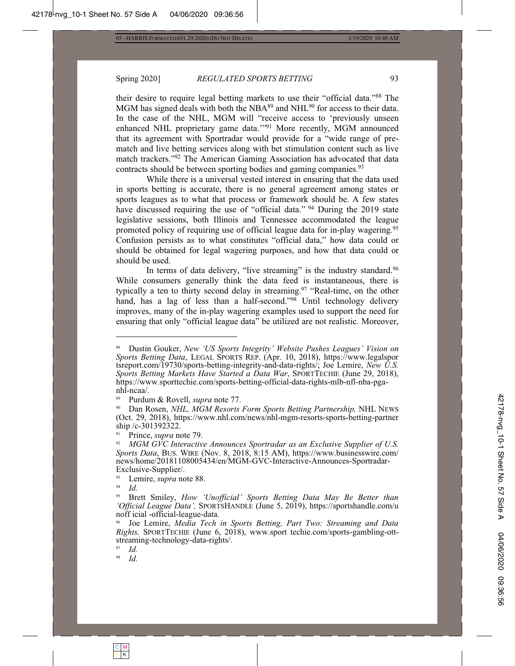3/19/2020 10:40 AM

#### Spring 2020] REGULATED SPORTS BETTING

their desire to require legal betting markets to use their "official data."<sup>88</sup> The MGM has signed deals with both the NBA<sup>89</sup> and NHL<sup>90</sup> for access to their data. In the case of the NHL, MGM will "receive access to 'previously unseen enhanced NHL proprietary game data."<sup>91</sup> More recently, MGM announced that its agreement with Sportradar would provide for a "wide range of prematch and live betting services along with bet stimulation content such as live match trackers."<sup>92</sup> The American Gaming Association has advocated that data contracts should be between sporting bodies and gaming companies.<sup>93</sup>

While there is a universal vested interest in ensuring that the data used in sports betting is accurate, there is no general agreement among states or sports leagues as to what that process or framework should be. A few states have discussed requiring the use of "official data." <sup>94</sup> During the 2019 state legislative sessions, both Illinois and Tennessee accommodated the league promoted policy of requiring use of official league data for in-play wagering.<sup>95</sup> Confusion persists as to what constitutes "official data," how data could or should be obtained for legal wagering purposes, and how that data could or should be used.

In terms of data delivery, "live streaming" is the industry standard.<sup>96</sup> While consumers generally think the data feed is instantaneous, there is typically a ten to thirty second delay in streaming.<sup>97</sup> "Real-time, on the other hand, has a lag of less than a half-second."<sup>98</sup> Until technology delivery improves, many of the in-play wagering examples used to support the need for ensuring that only "official league data" be utilized are not realistic. Moreover,

97 Id.

98 Id. 93

Dustin Gouker, New 'US Sports Integrity' Website Pushes Leagues' Vision on Sports Betting Data, LEGAL SPORTS REP. (Apr. 10, 2018), https://www.legalspor tsreport.com/19730/sports-betting-integrity-and-data-rights/; Joe Lemire, New U.S. Sports Betting Markets Have Started a Data War, SPORTTECHIE (June 29, 2018), https://www.sporttechie.com/sports-betting-official-data-rights-mlb-nfl-nba-pga $nhl-ncaa/$ .

Purdum & Rovell, *supra* note 77.

Dan Rosen, NHL, MGM Resorts Form Sports Betting Partnership, NHL NEWS (Oct. 29, 2018), https://www.nhl.com/news/nhl-mgm-resorts-sports-betting-partner ship /c-301392322.

<sup>91</sup> Prince, *supra* note 79.

<sup>92</sup> MGM GVC Interactive Announces Sportradar as an Exclusive Supplier of U.S. Sports Data, BUS. WIRE (Nov. 8, 2018, 8:15 AM), https://www.businesswire.com/ news/home/20181108005434/en/MGM-GVC-Interactive-Announces-Sportradar-Exclusive-Supplier/.

<sup>93</sup> Lemire, *supra* note 88.

 $\ensuremath{^{94}}$ Id.

Brett Smiley, How 'Unofficial' Sports Betting Data May Be Better than 'Official League Data', SPORTSHANDLE (June 5, 2019), https://sportshandle.com/u noff icial -official-league-data.

Joe Lemire, Media Tech in Sports Betting, Part Two: Streaming and Data Rights, SPORTTECHIE (June 6, 2018), www.sport techie.com/sports-gambling-ottstreaming-technology-data-rights/.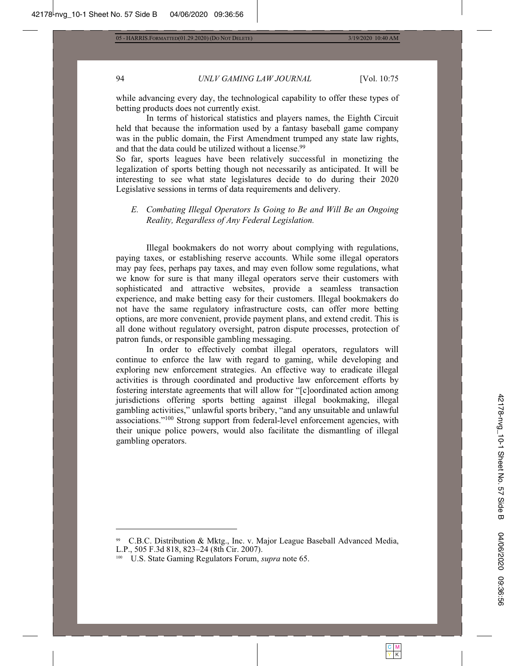# 94 UNLV GAMING LAW JOURNAL [Vol. 10:75

C M Y | K

while advancing every day, the technological capability to offer these types of betting products does not currently exist.

In terms of historical statistics and players names, the Eighth Circuit held that because the information used by a fantasy baseball game company was in the public domain, the First Amendment trumped any state law rights, and that the data could be utilized without a license.<sup>99</sup>

So far, sports leagues have been relatively successful in monetizing the legalization of sports betting though not necessarily as anticipated. It will be interesting to see what state legislatures decide to do during their 2020 Legislative sessions in terms of data requirements and delivery.

# *E. Combating Illegal Operators Is Going to Be and Will Be an Ongoing Reality, Regardless of Any Federal Legislation.*

Illegal bookmakers do not worry about complying with regulations, paying taxes, or establishing reserve accounts. While some illegal operators may pay fees, perhaps pay taxes, and may even follow some regulations, what we know for sure is that many illegal operators serve their customers with sophisticated and attractive websites, provide a seamless transaction experience, and make betting easy for their customers. Illegal bookmakers do not have the same regulatory infrastructure costs, can offer more betting options, are more convenient, provide payment plans, and extend credit. This is all done without regulatory oversight, patron dispute processes, protection of patron funds, or responsible gambling messaging.

In order to effectively combat illegal operators, regulators will continue to enforce the law with regard to gaming, while developing and exploring new enforcement strategies. An effective way to eradicate illegal activities is through coordinated and productive law enforcement efforts by fostering interstate agreements that will allow for "[c]oordinated action among jurisdictions offering sports betting against illegal bookmaking, illegal gambling activities," unlawful sports bribery, "and any unsuitable and unlawful associations."<sup>100</sup> Strong support from federal-level enforcement agencies, with their unique police powers, would also facilitate the dismantling of illegal gambling operators.

C.B.C. Distribution & Mktg., Inc. v. Major League Baseball Advanced Media, L.P., 505 F.3d 818, 823-24 (8th Cir. 2007).

<sup>&</sup>lt;sup>100</sup> U.S. State Gaming Regulators Forum, *supra* note 65.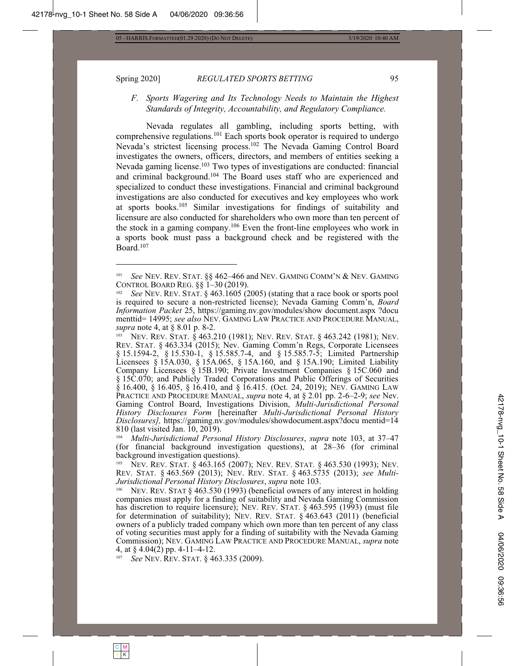#### Spring 2020] **REGULATED SPORTS BETTING** 95

# *F. Sports Wagering and Its Technology Needs to Maintain the Highest Standards of Integrity, Accountability, and Regulatory Compliance.*

Nevada regulates all gambling, including sports betting, with comprehensive regulations.<sup>101</sup> Each sports book operator is required to undergo Nevada's strictest licensing process.<sup>102</sup> The Nevada Gaming Control Board investigates the owners, officers, directors, and members of entities seeking a Nevada gaming license.<sup>103</sup> Two types of investigations are conducted: financial and criminal background.<sup>104</sup> The Board uses staff who are experienced and specialized to conduct these investigations. Financial and criminal background investigations are also conducted for executives and key employees who work at sports books.<sup>105</sup> Similar investigations for findings of suitability and licensure are also conducted for shareholders who own more than ten percent of the stock in a gaming company.<sup>106</sup> Even the front-line employees who work in a sports book must pass a background check and be registered with the Board.<sup>107</sup>

<sup>104</sup> Multi-Jurisdictional Personal History Disclosures, supra note 103, at 37–47 (for financial background investigation questions), at  $28-36$  (for criminal background investigation questions).

105 NEV. REV. STAT. § 463.165 (2007); NEV. REV. STAT. § 463.530 (1993); NEV. REV. STAT. § 463.569 (2013); NEV. REV. STAT. § 463.5735 (2013); see *Multi-Jurisdictional Personal History Disclosures, supra* note 103.

NEV. REV. STAT  $\S$  463.530 (1993) (beneficial owners of any interest in holding companies must apply for a finding of suitability and Nevada Gaming Commission has discretion to require licensure); NEV. REV. STAT.  $\S$  463.595 (1993) (must file for determination of suitability); NEV. REV. STAT.  $\S$  463.643 (2011) (beneficial owners of a publicly traded company which own more than ten percent of any class of voting securities must apply for a finding of suitability with the Nevada Gaming Commission); NEV. GAMING LAW PRACTICE AND PROCEDURE MANUAL, *supra* note 4, at  $\S$  4.04(2) pp. 4-11-4-12.

<sup>107</sup> *See* NEV. REV. STAT. § 463.335 (2009).

*See* NEV. REV. STAT. §§ 462-466 and NEV. GAMING COMM'N & NEV. GAMING CONTROL BOARD REG. §§ 1-30 (2019).

See NEV. REV. STAT. § 463.1605 (2005) (stating that a race book or sports pool is required to secure a non-restricted license); Nevada Gaming Comm'n, *Board Information Packet* 25, https://gaming.nv.gov/modules/show document.aspx ?docu menttid= 14995; see also NEV. GAMING LAW PRACTICE AND PROCEDURE MANUAL, *supra* note 4, at § 8.01 p. 8-2.

NEV. REV. STAT. § 463.210 (1981); NEV. REV. STAT. § 463.242 (1981); NEV. REV. STAT. § 463.334 (2015); Nev. Gaming Comm'n Regs, Corporate Licensees § 15.1594-2, § 15.530-1, § 15.585.7-4, and § 15.585.7-5; Limited Partnership Licensees  $\frac{\xi}{2}$  15A.030,  $\frac{\xi}{2}$  15A.065,  $\frac{\xi}{2}$  15A.160, and  $\frac{\xi}{2}$  15A.190; Limited Liability Company Licensees § 15B.190; Private Investment Companies § 15C.060 and  $\S 15C.070$ ; and Publicly Traded Corporations and Public Offerings of Securities  $\S$  16.400,  $\S$  16.405,  $\S$  16.410, and  $\S$  16.415. (Oct. 24, 2019); Nev. GAMING LAW PRACTICE AND PROCEDURE MANUAL, *supra* note 4, at § 2.01 pp. 2-6-2-9; see Nev. Gaming Control Board, Investigations Division, *Multi-Jurisdictional Personal History Disclosures Form [hereinafter Multi-Jurisdictional Personal History Disclosures],* https://gaming.nv.gov/modules/showdocument.aspx?docu mentid=14  $810$  (last visited Jan. 10, 2019).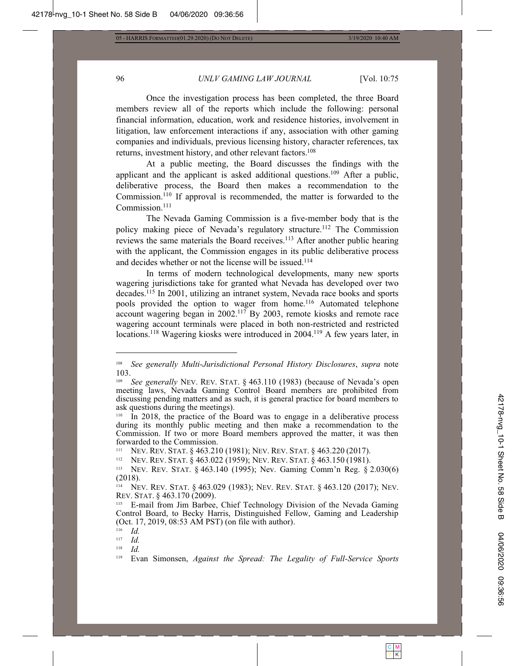# 96 *UNLV GAMING LAW JOURNAL* [Vol. 10:75

Once the investigation process has been completed, the three Board members review all of the reports which include the following: personal financial information, education, work and residence histories, involvement in litigation, law enforcement interactions if any, association with other gaming companies and individuals, previous licensing history, character references, tax returns, investment history, and other relevant factors.<sup>108</sup>

At a public meeting, the Board discusses the findings with the applicant and the applicant is asked additional questions.<sup>109</sup> After a public, deliberative process, the Board then makes a recommendation to the Commission.<sup>110</sup> If approval is recommended, the matter is forwarded to the Commission.<sup>111</sup>

The Nevada Gaming Commission is a five-member body that is the policy making piece of Nevada's regulatory structure.<sup>112</sup> The Commission reviews the same materials the Board receives.<sup>113</sup> After another public hearing with the applicant, the Commission engages in its public deliberative process and decides whether or not the license will be issued.<sup>114</sup>

In terms of modern technological developments, many new sports wagering jurisdictions take for granted what Nevada has developed over two decades.<sup>115</sup> In 2001, utilizing an intranet system, Nevada race books and sports pools provided the option to wager from home.<sup>116</sup> Automated telephone account wagering began in 2002.<sup>117</sup> By 2003, remote kiosks and remote race wagering account terminals were placed in both non-restricted and restricted locations.<sup>118</sup> Wagering kiosks were introduced in 2004.<sup>119</sup> A few years later, in

<sup>112</sup> NEV. REV. STAT. § 463.022 (1959); NEV. REV. STAT. § 463.150 (1981).

NEV. REV. STAT. § 463.140 (1995); Nev. Gaming Comm'n Reg. § 2.030(6)  $(2018).$ 

<sup>114</sup> Nev. Rev. Stat. § 463.029 (1983); Nev. Rev. Stat. § 463.120 (2017); Nev. REV. STAT. § 463.170 (2009).

 $\frac{116}{117}$  *Id.* 

 $\frac{117}{118}$  *Id.* 

 $\frac{118}{119}$  *Id.* 



<sup>&</sup>lt;sup>108</sup> See generally Multi-Jurisdictional Personal History Disclosures, supra note 103.

<sup>&</sup>lt;sup>109</sup> See generally NEV. REV. STAT. § 463.110 (1983) (because of Nevada's open meeting laws, Nevada Gaming Control Board members are prohibited from discussing pending matters and as such, it is general practice for board members to ask questions during the meetings).

 $\overline{a}$  In 2018, the practice of the Board was to engage in a deliberative process during its monthly public meeting and then make a recommendation to the Commission. If two or more Board members approved the matter, it was then forwarded to the Commission.

<sup>&</sup>lt;sup>111</sup> NEV. REV. STAT. § 463.210 (1981); NEV. REV. STAT. § 463.220 (2017).

<sup>&</sup>lt;sup>115</sup> E-mail from Jim Barbee, Chief Technology Division of the Nevada Gaming Control Board, to Becky Harris, Distinguished Fellow, Gaming and Leadership  $(Oct. 17, 2019, 08:53 AM PST)$  (on file with author).

Evan Simonsen, *Against the Spread: The Legality of Full-Service Sports*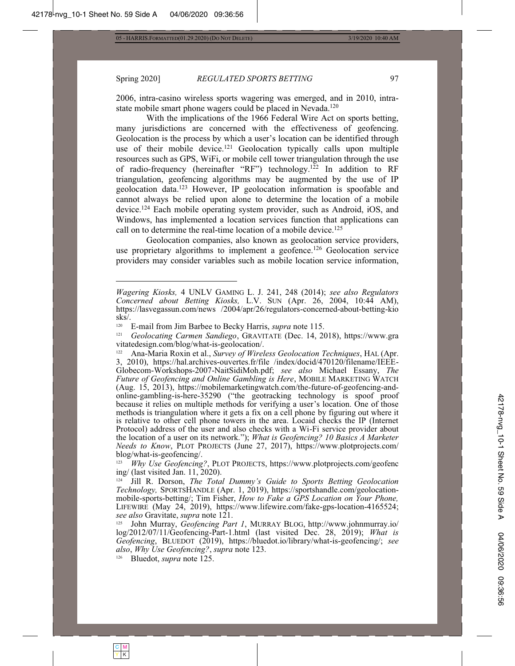3/19/2020 10:40 AM

#### Spring 2020]

#### REGULATED SPORTS BETTING

2006, intra-casino wireless sports wagering was emerged, and in 2010, intrastate mobile smart phone wagers could be placed in Nevada.<sup>120</sup>

With the implications of the 1966 Federal Wire Act on sports betting, many jurisdictions are concerned with the effectiveness of geofencing. Geolocation is the process by which a user's location can be identified through use of their mobile device.<sup>121</sup> Geolocation typically calls upon multiple resources such as GPS, WiFi, or mobile cell tower triangulation through the use of radio-frequency (hereinafter "RF") technology.<sup>122</sup> In addition to RF triangulation, geofencing algorithms may be augmented by the use of IP geolocation data.<sup>123</sup> However, IP geolocation information is spoofable and cannot always be relied upon alone to determine the location of a mobile device.<sup>124</sup> Each mobile operating system provider, such as Android, iOS, and Windows, has implemented a location services function that applications can call on to determine the real-time location of a mobile device.<sup>125</sup>

Geolocation companies, also known as geolocation service providers, use proprietary algorithms to implement a geofence.<sup>126</sup> Geolocation service providers may consider variables such as mobile location service information,

<sup>126</sup> Bluedot, *supra* note 125.

97

Wagering Kiosks, 4 UNLV GAMING L. J. 241, 248 (2014); see also Regulators Concerned about Betting Kiosks, L.V. SUN (Apr. 26, 2004, 10:44 AM), https://lasvegassun.com/news /2004/apr/26/regulators-concerned-about-betting-kio  $sk\bar{s}$ .

<sup>120</sup> E-mail from Jim Barbee to Becky Harris, *supra* note 115.

 $121$ Geolocating Carmen Sandiego, GRAVITATE (Dec. 14, 2018), https://www.gra vitatedesign.com/blog/what-is-geolocation/.

Ana-Maria Roxin et al., Survey of Wireless Geolocation Techniques, HAL (Apr. 122 3, 2010), https://hal.archives-ouvertes.fr/file /index/docid/470120/filename/IEEE-Globecom-Workshops-2007-NaitSidiMoh.pdf; see also Michael Essany, The Future of Geofencing and Online Gambling is Here, MOBILE MARKETING WATCH (Aug. 15, 2013), https://mobilemarketingwatch.com/the-future-of-geofencing-andonline-gambling-is-here-35290 ("the geotracking technology is spoof proof<br>because it relies on multiple methods for verifying a user's location. One of those methods is triangulation where it gets a fix on a cell phone by figuring out where it is relative to other cell phone towers in the area. Locaid checks the IP (Internet Protocol) address of the user and also checks with a Wi-Fi service provider about the location of a user on its network."); What is Geofencing? 10 Basics A Marketer *Needs to Know*, PLOT PROJECTS (June 27, 2017), https://www.plotprojects.com/ blog/what-is-geofencing/.

 $123$ Why Use Geofencing?, PLOT PROJECTS, https://www.plotprojects.com/geofenc ing/ (last visited Jan.  $11$ , 2020).

<sup>&</sup>lt;sup>124</sup> Jill R. Dorson, *The Total Dummy's Guide to Sports Betting Geolocation* Technology, SPORTSHANDLE (Apr. 1, 2019), https://sportshandle.com/geolocationmobile-sports-betting/; Tim Fisher, How to Fake a GPS Location on Your Phone, LIFEWIRE (May 24, 2019), https://www.lifewire.com/fake-gps-location-4165524; see also Gravitate, supra note 121.

<sup>&</sup>lt;sup>125</sup> John Murray, *Geofencing Part 1*, MURRAY BLOG, http://www.johnmurray.io/ log/2012/07/11/Geofencing-Part-1.html (last visited Dec. 28, 2019); What is Geofencing, BLUEDOT (2019), https://bluedot.io/library/what-is-geofencing/; see also, Why Use Geofencing?, supra note 123.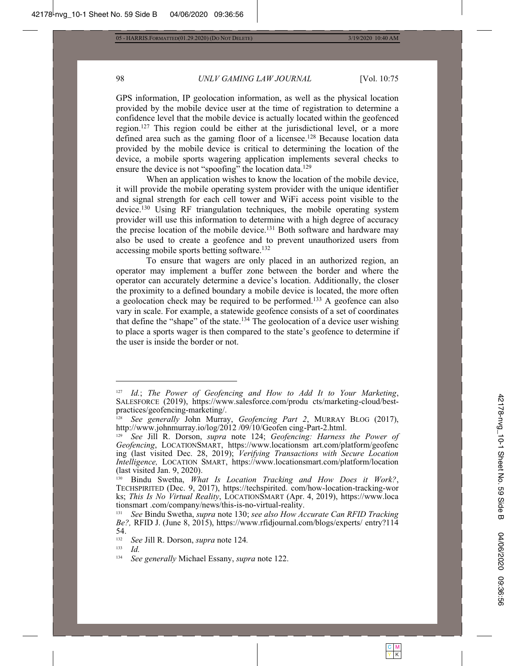98

05 - HARRIS.FORMATTED(01.29.2020) (DO NOT DELETE)

3/19/2020 10:40 AM

# UNLV GAMING LAW JOURNAL

GPS information, IP geolocation information, as well as the physical location provided by the mobile device user at the time of registration to determine a confidence level that the mobile device is actually located within the geofenced region.<sup>127</sup> This region could be either at the jurisdictional level, or a more defined area such as the gaming floor of a licensee.<sup>128</sup> Because location data provided by the mobile device is critical to determining the location of the device, a mobile sports wagering application implements several checks to ensure the device is not "spoofing" the location data.<sup>129</sup>

When an application wishes to know the location of the mobile device, it will provide the mobile operating system provider with the unique identifier and signal strength for each cell tower and WiFi access point visible to the device.<sup>130</sup> Using RF triangulation techniques, the mobile operating system provider will use this information to determine with a high degree of accuracy the precise location of the mobile device.<sup>131</sup> Both software and hardware may also be used to create a geofence and to prevent unauthorized users from accessing mobile sports betting software.<sup>132</sup>

To ensure that wagers are only placed in an authorized region, an operator may implement a buffer zone between the border and where the operator can accurately determine a device's location. Additionally, the closer the proximity to a defined boundary a mobile device is located, the more often a geolocation check may be required to be performed.<sup>133</sup> A geofence can also vary in scale. For example, a statewide geofence consists of a set of coordinates that define the "shape" of the state.<sup>134</sup> The geolocation of a device user wishing to place a sports wager is then compared to the state's geofence to determine if the user is inside the border or not.

132 See Jill R. Dorson, supra note 124.

133  $Id$  [Vol. 10:75

<sup>127</sup> Id.; The Power of Geofencing and How to Add It to Your Marketing, SALESFORCE (2019), https://www.salesforce.com/produ\_cts/marketing-cloud/bestpractices/geofencing-marketing/.

<sup>&</sup>lt;sup>128</sup> See generally John Murray, Geofencing Part 2, MURRAY BLOG (2017), http://www.johnmurray.io/log/2012/09/10/Geofen cing-Part-2.html.

See Jill R. Dorson, *supra* note 124; Geofencing: Harness the Power of Geofencing, LOCATIONSMART, https://www.locationsm art.com/platform/geofenc ing (last visited Dec. 28, 2019); Verifying Transactions with Secure Location Intelligence, LOCATION SMART, https://www.locationsmart.com/platform/location (last visited Jan. 9, 2020).

<sup>130</sup> Bindu Swetha, What Is Location Tracking and How Does it Work?, TECHSPIRITED (Dec. 9, 2017), https://techspirited. com/how-location-tracking-wor ks; This Is No Virtual Reality, LOCATIONSMART (Apr. 4, 2019), https://www.loca tionsmart.com/company/news/this-is-no-virtual-reality.

 $131$ See Bindu Swetha, supra note 130; see also How Accurate Can RFID Tracking Be?, RFID J. (June 8, 2015), https://www.rfidjournal.com/blogs/experts/ entry?114 54.

<sup>134</sup> See generally Michael Essany, supra note 122.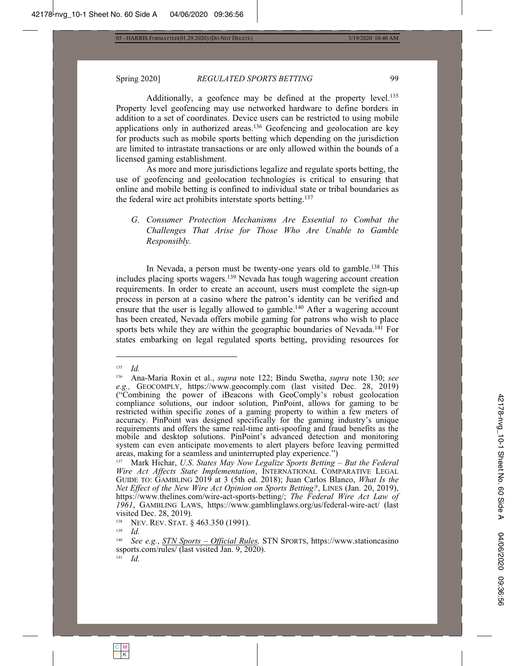42178-nvg\_10-1 Sheet No. 60 Side A 04/06/2020 09:36:56

04/06/2020 09:36:56

42178-nvg\_10-1 Sheet No. 60 Side A

# Spring 2020] **REGULATED SPORTS BETTING** 99

Additionally, a geofence may be defined at the property level.<sup>135</sup> Property level geofencing may use networked hardware to define borders in addition to a set of coordinates. Device users can be restricted to using mobile applications only in authorized areas.<sup>136</sup> Geofencing and geolocation are key for products such as mobile sports betting which depending on the jurisdiction are limited to intrastate transactions or are only allowed within the bounds of a licensed gaming establishment.

As more and more jurisdictions legalize and regulate sports betting, the use of geofencing and geolocation technologies is critical to ensuring that online and mobile betting is confined to individual state or tribal boundaries as the federal wire act prohibits interstate sports betting.<sup>137</sup>

*G. Consumer Protection Mechanisms Are Essential to Combat the Challenges That Arise for Those Who Are Unable to Gamble Responsibly.* 

In Nevada, a person must be twenty-one years old to gamble.<sup>138</sup> This includes placing sports wagers.<sup>139</sup> Nevada has tough wagering account creation requirements. In order to create an account, users must complete the sign-up process in person at a casino where the patron's identity can be verified and ensure that the user is legally allowed to gamble.<sup>140</sup> After a wagering account has been created, Nevada offers mobile gaming for patrons who wish to place sports bets while they are within the geographic boundaries of Nevada.<sup>141</sup> For states embarking on legal regulated sports betting, providing resources for

 $\frac{135}{136}$  *Id.* 

Ana-Maria Roxin et al., *supra* note 122; Bindu Swetha, *supra* note 130; *see e.g.,* GEOCOMPLY, https://www.geocomply.com (last visited Dec. 28, 2019) ("Combining the power of iBeacons with GeoComply's robust geolocation compliance solutions, our indoor solution, PinPoint, allows for gaming to be restricted within specific zones of a gaming property to within a few meters of accuracy. PinPoint was designed specifically for the gaming industry's unique requirements and offers the same real-time anti-spoofing and fraud benefits as the mobile and desktop solutions. PinPoint's advanced detection and monitoring system can even anticipate movements to alert players before leaving permitted areas, making for a seamless and uninterrupted play experience.")

<sup>&</sup>lt;sup>137</sup> Mark Hichar, U.S. States May Now Legalize Sports Betting – But the Federal Wire Act Affects State Implementation, INTERNATIONAL COMPARATIVE LEGAL GUIDE TO: GAMBLING 2019 at 3 (5th ed. 2018); Juan Carlos Blanco, What Is the *Net Effect of the New Wire Act Opinion on Sports Betting?*, LINES (Jan. 20, 2019), https://www.thelines.com/wire-act-sports-betting/; The Federal Wire Act Law of 1961, GAMBLING LAWS, https://www.gamblinglaws.org/us/federal-wire-act/ (last visited Dec. 28, 2019).<br> $V_{\text{BIV}}$  Nev Rev. Stat 8

<sup>&</sup>lt;sup>138</sup> NEV. REV. STAT. § 463.350 (1991).

 $\frac{139}{140}$  *Id.* 

*See e.g.*, *STN Sports – Official Rules, STN SPORTS, https://www.stationcasino* ssports.com/rules/ (last visited Jan. 9, 2020).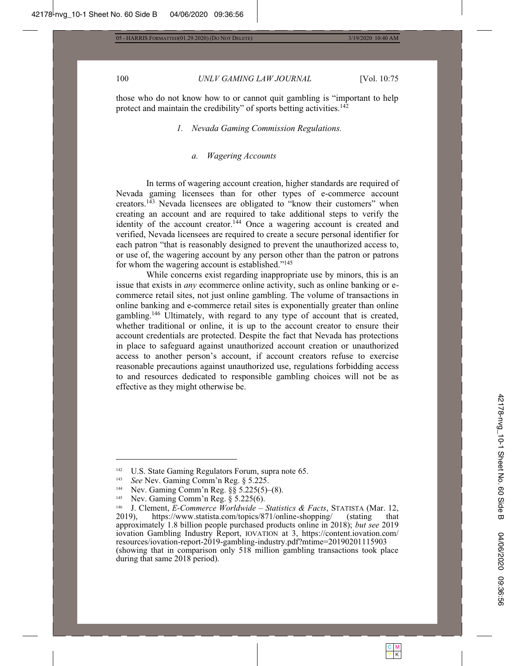#### 100 UNLV GAMING LAW JOURNAL [Vol. 10:75

those who do not know how to or cannot quit gambling is "important to help protect and maintain the credibility" of sports betting activities.<sup>142</sup>

*1. Nevada Gaming Commission Regulations.* 

### *a. Wagering Accounts*

In terms of wagering account creation, higher standards are required of Nevada gaming licensees than for other types of e-commerce account creators.<sup>143</sup> Nevada licensees are obligated to "know their customers" when creating an account and are required to take additional steps to verify the identity of the account creator.<sup>144</sup> Once a wagering account is created and verified, Nevada licensees are required to create a secure personal identifier for each patron "that is reasonably designed to prevent the unauthorized access to, or use of, the wagering account by any person other than the patron or patrons for whom the wagering account is established."<sup>145</sup>

While concerns exist regarding inappropriate use by minors, this is an issue that exists in *any* ecommerce online activity, such as online banking or ecommerce retail sites, not just online gambling. The volume of transactions in online banking and e-commerce retail sites is exponentially greater than online gambling.<sup>146</sup> Ultimately, with regard to any type of account that is created, whether traditional or online, it is up to the account creator to ensure their account credentials are protected. Despite the fact that Nevada has protections in place to safeguard against unauthorized account creation or unauthorized access to another person's account, if account creators refuse to exercise reasonable precautions against unauthorized use, regulations forbidding access to and resources dedicated to responsible gambling choices will not be as effective as they might otherwise be.

<sup>&</sup>lt;sup>142</sup> U.S. State Gaming Regulators Forum, supra note 65.<br><sup>143</sup> See Ney, Gaming Comm'n Reg.  $\frac{8}{5}$  325

<sup>&</sup>lt;sup>143</sup> *See* Nev. Gaming Comm'n Reg. § 5.225.

<sup>&</sup>lt;sup>144</sup> Nev. Gaming Comm'n Reg.  $\S$ § 5.225(5)–(8).<br><sup>145</sup> Nev. Gaming Comm'n Reg.  $\S$  5.225(6)

<sup>&</sup>lt;sup>145</sup> Nev. Gaming Comm'n Reg.  $\S$  5.225(6).

<sup>&</sup>lt;sup>146</sup> J. Clement, *E-Commerce Worldwide – Statistics & Facts*, STATISTA (Mar. 12, 2019), https://www.statista.com/topics/871/online-shopping/ (stating that https://www.statista.com/topics/871/online-shopping/ (stating that approximately 1.8 billion people purchased products online in 2018); but see 2019 iovation Gambling Industry Report, IOVATION at 3, https://content.iovation.com/ resources/iovation-report-2019-gambling-industry.pdf?mtime=20190201115903 (showing that in comparison only  $518$  million gambling transactions took place during that same 2018 period).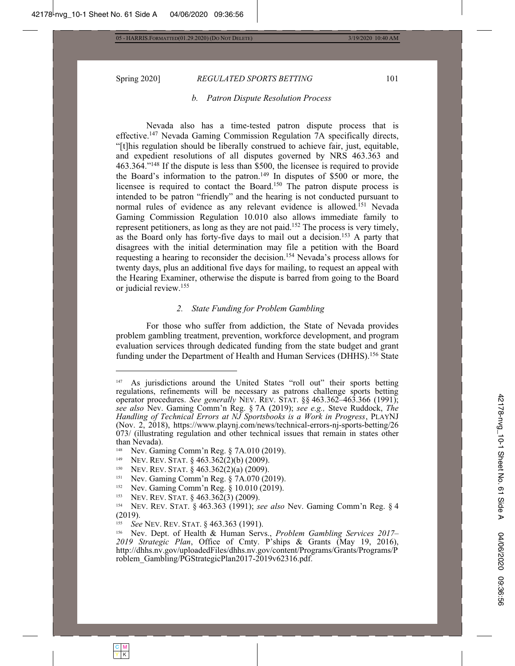### Spring 2020] **REGULATED SPORTS BETTING** 101

*b. Patron Dispute Resolution Process* 

Nevada also has a time-tested patron dispute process that is effective.<sup>147</sup> Nevada Gaming Commission Regulation 7A specifically directs, "[t]his regulation should be liberally construed to achieve fair, just, equitable, and expedient resolutions of all disputes governed by NRS 463.363 and  $463.364$ ."<sup>148</sup> If the dispute is less than \$500, the licensee is required to provide the Board's information to the patron.<sup>149</sup> In disputes of \$500 or more, the licensee is required to contact the Board.<sup>150</sup> The patron dispute process is intended to be patron "friendly" and the hearing is not conducted pursuant to normal rules of evidence as any relevant evidence is allowed.<sup>151</sup> Nevada Gaming Commission Regulation 10.010 also allows immediate family to represent petitioners, as long as they are not paid.<sup>152</sup> The process is very timely, as the Board only has forty-five days to mail out a decision.<sup>153</sup> A party that disagrees with the initial determination may file a petition with the Board requesting a hearing to reconsider the decision.<sup>154</sup> Nevada's process allows for twenty days, plus an additional five days for mailing, to request an appeal with the Hearing Examiner, otherwise the dispute is barred from going to the Board or judicial review.<sup>155</sup>

#### *2. State Funding for Problem Gambling*

For those who suffer from addiction, the State of Nevada provides problem gambling treatment, prevention, workforce development, and program evaluation services through dedicated funding from the state budget and grant funding under the Department of Health and Human Services (DHHS).<sup>156</sup> State

- <sup>149</sup> NEV. REV. STAT. § 463.362(2)(b) (2009).<br><sup>150</sup> NEV REV STAT § 463.362(2)(a) (2009).
- <sup>150</sup> NEV. REV. STAT.  $\S 463.362(2)(a) (2009)$ .<br><sup>151</sup> Nev. Gaming Comm'n Reg.  $\S 7A.070.02(2)$
- <sup>151</sup> Nev. Gaming Comm'n Reg.  $\S$  7A.070 (2019).
- Nev. Gaming Comm'n Reg.  $§ 10.010(2019)$ .
- <sup>153</sup> NEV. REV. STAT.  $\frac{6}{9}$  463.362(3) (2009).

As jurisdictions around the United States "roll out" their sports betting regulations, refinements will be necessary as patrons challenge sports betting operator procedures. See generally NEV. REV. STAT. §§ 463.362-463.366 (1991); *see also* Nev. Gaming Comm'n Reg. § 7A (2019); see e.g., Steve Ruddock, The Handling of Technical Errors at NJ Sportsbooks is a Work in Progress, PLAYNJ (Nov.  $2$ ,  $2018$ ), https://www.playnj.com/news/technical-errors-nj-sports-betting/26  $073/$  (illustrating regulation and other technical issues that remain in states other than Nevada).

<sup>&</sup>lt;sup>148</sup> Nev. Gaming Comm'n Reg.  $$7A.010(2019)$ .

<sup>&</sup>lt;sup>154</sup> NEV. REV. STAT. § 463.363 (1991); see also Nev. Gaming Comm'n Reg. § 4  $(2019).$ 

<sup>&</sup>lt;sup>155</sup> *See* NEV. REV. STAT. § 463.363 (1991).<br><sup>156</sup> Nev. Dent. of Health & Human Serv.

Nev. Dept. of Health & Human Servs., Problem Gambling Services 2017-2019 Strategic Plan, Office of Cmty. P'ships & Grants (May 19, 2016), http://dhhs.nv.gov/uploadedFiles/dhhs.nv.gov/content/Programs/Grants/Programs/P roblem\_Gambling/PGStrategicPlan2017-2019v62316.pdf.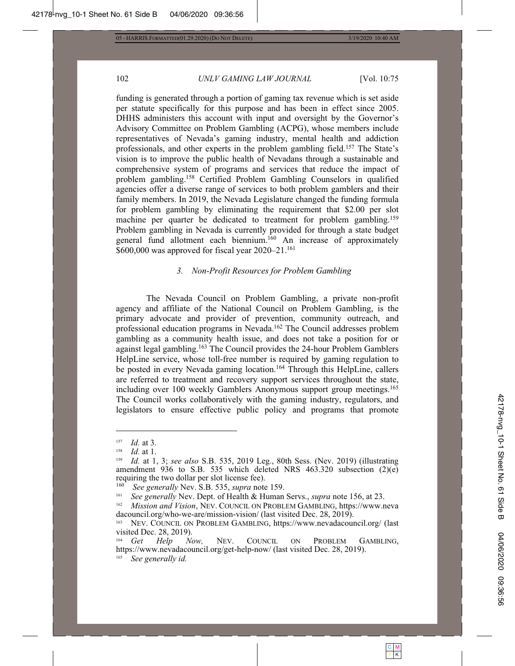3/19/2020 10:40 AM

# 102

# UNLV GAMING LAW JOURNAL

[Vol. 10:75

funding is generated through a portion of gaming tax revenue which is set aside per statute specifically for this purpose and has been in effect since 2005. DHHS administers this account with input and oversight by the Governor's Advisory Committee on Problem Gambling (ACPG), whose members include representatives of Nevada's gaming industry, mental health and addiction professionals, and other experts in the problem gambling field.<sup>157</sup> The State's vision is to improve the public health of Nevadans through a sustainable and comprehensive system of programs and services that reduce the impact of problem gambling.<sup>158</sup> Certified Problem Gambling Counselors in qualified agencies offer a diverse range of services to both problem gamblers and their family members. In 2019, the Nevada Legislature changed the funding formula for problem gambling by eliminating the requirement that \$2.00 per slot machine per quarter be dedicated to treatment for problem gambling.<sup>159</sup> Problem gambling in Nevada is currently provided for through a state budget general fund allotment each biennium.<sup>160</sup> An increase of approximately \$600,000 was approved for fiscal year 2020-21.<sup>161</sup>

#### 3. Non-Profit Resources for Problem Gambling

The Nevada Council on Problem Gambling, a private non-profit agency and affiliate of the National Council on Problem Gambling, is the primary advocate and provider of prevention, community outreach, and professional education programs in Nevada.<sup>162</sup> The Council addresses problem gambling as a community health issue, and does not take a position for or against legal gambling.<sup>163</sup> The Council provides the 24-hour Problem Gamblers HelpLine service, whose toll-free number is required by gaming regulation to be posted in every Nevada gaming location.<sup>164</sup> Through this HelpLine, callers are referred to treatment and recovery support services throughout the state, including over 100 weekly Gamblers Anonymous support group meetings.<sup>165</sup> The Council works collaboratively with the gaming industry, regulators, and legislators to ensure effective public policy and programs that promote

<sup>157</sup> *Id.* at 3.

<sup>158</sup> *Id.* at 1.

Id. at 1, 3; see also S.B. 535, 2019 Leg., 80th Sess. (Nev. 2019) (illustrating 159 amendment 936 to S.B. 535 which deleted NRS 463.320 subsection (2)(e) requiring the two dollar per slot license fee).

<sup>160</sup> See generally Nev. S.B. 535, supra note 159.

<sup>161</sup> See generally Nev. Dept. of Health & Human Servs., *supra* note 156, at 23.

<sup>162</sup> Mission and Vision, NEV. COUNCIL ON PROBLEM GAMBLING, https://www.neva dacouncil.org/who-we-are/mission-vision/ (last visited Dec. 28, 2019).

<sup>163</sup> NEV. COUNCIL ON PROBLEM GAMBLING, https://www.nevadacouncil.org/ (last visited Dec. 28, 2019).

COUNCIL ON PROBLEM Get Help  $Now,$ NEV. GAMBLING, https://www.nevadacouncil.org/get-help-now/ (last visited Dec. 28, 2019). See generally id.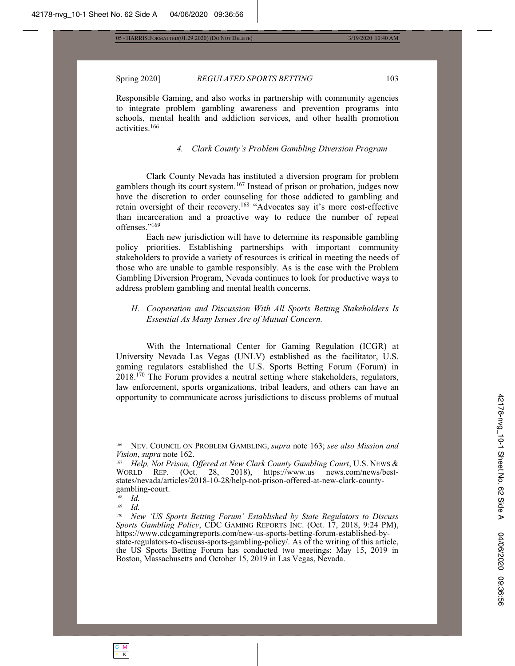#### Spring 2020] **REGULATED SPORTS BETTING** 103

Responsible Gaming, and also works in partnership with community agencies to integrate problem gambling awareness and prevention programs into schools, mental health and addiction services, and other health promotion activities.<sup>166</sup>

#### *4. Clark County's Problem Gambling Diversion Program*

Clark County Nevada has instituted a diversion program for problem gamblers though its court system.<sup>167</sup> Instead of prison or probation, judges now have the discretion to order counseling for those addicted to gambling and retain oversight of their recovery.<sup>168</sup> "Advocates say it's more cost-effective than incarceration and a proactive way to reduce the number of repeat offenses."169

Each new jurisdiction will have to determine its responsible gambling policy priorities. Establishing partnerships with important community stakeholders to provide a variety of resources is critical in meeting the needs of those who are unable to gamble responsibly. As is the case with the Problem Gambling Diversion Program, Nevada continues to look for productive ways to address problem gambling and mental health concerns.

# *H. Cooperation and Discussion With All Sports Betting Stakeholders Is Essential As Many Issues Are of Mutual Concern.*

With the International Center for Gaming Regulation (ICGR) at University Nevada Las Vegas (UNLV) established as the facilitator, U.S. gaming regulators established the U.S. Sports Betting Forum (Forum) in  $2018$ <sup>170</sup> The Forum provides a neutral setting where stakeholders, regulators, law enforcement, sports organizations, tribal leaders, and others can have an opportunity to communicate across jurisdictions to discuss problems of mutual

<sup>&</sup>lt;sup>166</sup> NEV. COUNCIL ON PROBLEM GAMBLING, *supra* note 163; see also Mission and *Vision, supra* note 162.<br><sup>167</sup> Help Not Prison (

*Help, Not Prison, Offered at New Clark County Gambling Court, U.S. News &* WORLD REP. (Oct. 28, 2018), https://www.us news.com/news/beststates/nevada/articles/2018-10-28/help-not-prison-offered-at-new-clark-countygambling-court.

 $\frac{168}{169}$  *Id.* 

 $\frac{169}{170}$  *Id.* 

*New 'US Sports Betting Forum' Established by State Regulators to Discuss Sports Gambling Policy*, CDC GAMING REPORTS INC. (Oct. 17, 2018, 9:24 PM), https://www.cdcgamingreports.com/new-us-sports-betting-forum-established-bystate-regulators-to-discuss-sports-gambling-policy/. As of the writing of this article, the US Sports Betting Forum has conducted two meetings: May 15, 2019 in Boston, Massachusetts and October 15, 2019 in Las Vegas, Nevada.